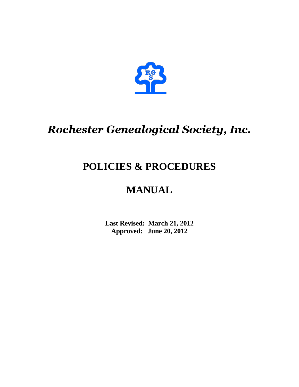

# *Rochester Genealogical Society, Inc.*

# **POLICIES & PROCEDURES**

# **MANUAL**

**Last Revised: March 21, 2012 Approved: June 20, 2012**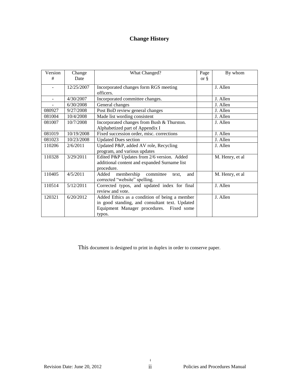# **Change History**

| Version                                                                | Change                                                    | What Changed?                                  | Page            | By whom         |
|------------------------------------------------------------------------|-----------------------------------------------------------|------------------------------------------------|-----------------|-----------------|
| #                                                                      | Date                                                      |                                                | or $\S$         |                 |
|                                                                        | 12/25/2007                                                | Incorporated changes form RGS meeting          |                 | J. Allen        |
|                                                                        |                                                           | officers.                                      |                 |                 |
| ÷                                                                      | 4/30/2007                                                 | Incorporated committee changes.                |                 | J. Allen        |
|                                                                        | 6/30/2008                                                 | General changes                                |                 | J. Allen        |
| 080927                                                                 | 9/27/2008                                                 | Post BoD review general changes                |                 | J. Allen        |
| 081004                                                                 | 10/4/2008                                                 | Made list wording consistent                   |                 | J. Allen        |
| 081007                                                                 | 10/7/2008                                                 | Incorporated changes from Bush & Thurston.     |                 | J. Allen        |
|                                                                        |                                                           | Alphabetized part of Appendix I                |                 |                 |
| 081019                                                                 | 10/19/2008                                                | Fixed succession order, misc. corrections      |                 | J. Allen        |
| 081023                                                                 | 10/23/2008                                                | <b>Updated Dues section</b>                    |                 | J. Allen        |
| 110206                                                                 | 2/6/2011                                                  | Updated P&P, added AV role, Recycling          |                 | J. Allen        |
|                                                                        |                                                           | program, and various updates                   |                 |                 |
| 110328                                                                 | 3/29/2011                                                 | Edited P&P Updates from 2/6 version. Added     |                 | M. Henry, et al |
|                                                                        |                                                           | additional content and expanded Surname list   |                 |                 |
|                                                                        |                                                           | procedure.                                     |                 |                 |
| 4/5/2011<br>membership<br>committee<br>110405<br>Added<br>and<br>text. |                                                           |                                                | M. Henry, et al |                 |
|                                                                        |                                                           | corrected "website" spelling.                  |                 |                 |
| 110514                                                                 | Corrected typos, and updated index for final<br>5/12/2011 |                                                |                 | J. Allen        |
|                                                                        |                                                           | review and vote.                               |                 |                 |
| 120321                                                                 | 6/20/2012                                                 | Added Ethics as a condition of being a member  |                 | J. Allen        |
|                                                                        |                                                           | in good standing, and consultant text. Updated |                 |                 |
|                                                                        |                                                           | Equipment Manager procedures. Fixed some       |                 |                 |
|                                                                        |                                                           | typos.                                         |                 |                 |

This document is designed to print in duplex in order to conserve paper.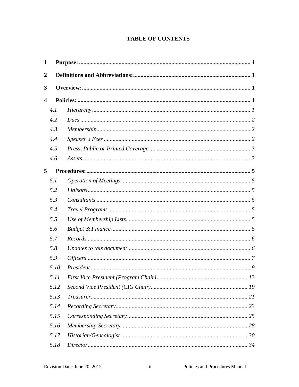# **TABLE OF CONTENTS**

| 1                       |      |  |  |  |  |
|-------------------------|------|--|--|--|--|
| $\overline{2}$          |      |  |  |  |  |
| 3                       |      |  |  |  |  |
|                         |      |  |  |  |  |
| $\overline{\mathbf{4}}$ |      |  |  |  |  |
|                         | 4.1  |  |  |  |  |
|                         | 4.2  |  |  |  |  |
|                         | 4.3  |  |  |  |  |
|                         | 4.4  |  |  |  |  |
|                         | 4.5  |  |  |  |  |
|                         | 4.6  |  |  |  |  |
| 5                       |      |  |  |  |  |
|                         | 5.1  |  |  |  |  |
|                         | 5.2  |  |  |  |  |
|                         | 5.3  |  |  |  |  |
|                         | 5.4  |  |  |  |  |
|                         | 5.5  |  |  |  |  |
|                         | 5.6  |  |  |  |  |
|                         | 5.7  |  |  |  |  |
|                         | 5.8  |  |  |  |  |
|                         | 5.9  |  |  |  |  |
|                         | 5.10 |  |  |  |  |
|                         | 5.11 |  |  |  |  |
|                         | 5.12 |  |  |  |  |
|                         | 5.13 |  |  |  |  |
|                         | 5.14 |  |  |  |  |
|                         | 5.15 |  |  |  |  |
|                         | 5.16 |  |  |  |  |
|                         | 5.17 |  |  |  |  |
|                         | 5.18 |  |  |  |  |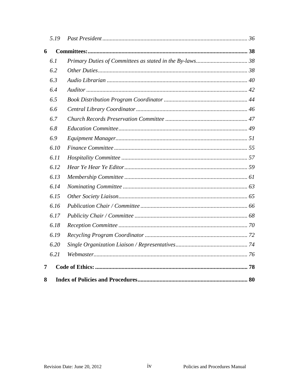|                | 5.19 |  |  |  |  |
|----------------|------|--|--|--|--|
| 6              |      |  |  |  |  |
|                | 6.1  |  |  |  |  |
|                | 6.2  |  |  |  |  |
|                | 6.3  |  |  |  |  |
|                | 6.4  |  |  |  |  |
|                | 6.5  |  |  |  |  |
|                | 6.6  |  |  |  |  |
|                | 6.7  |  |  |  |  |
|                | 6.8  |  |  |  |  |
|                | 6.9  |  |  |  |  |
|                | 6.10 |  |  |  |  |
|                | 6.11 |  |  |  |  |
|                | 6.12 |  |  |  |  |
|                | 6.13 |  |  |  |  |
|                | 6.14 |  |  |  |  |
|                | 6.15 |  |  |  |  |
|                | 6.16 |  |  |  |  |
|                | 6.17 |  |  |  |  |
|                | 6.18 |  |  |  |  |
|                | 6.19 |  |  |  |  |
|                | 6.20 |  |  |  |  |
|                | 6.21 |  |  |  |  |
| $\overline{7}$ |      |  |  |  |  |
| 8              |      |  |  |  |  |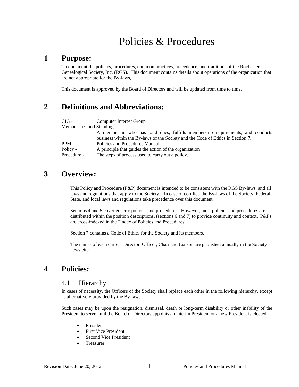# Policies & Procedures

# <span id="page-4-0"></span>**1 Purpose:**

To document the policies, procedures, common practices, precedence, and traditions of the Rochester Genealogical Society, Inc. (RGS). This document contains details about operations of the organization that are not appropriate for the By-laws,

This document is approved by the Board of Directors and will be updated from time to time.

# <span id="page-4-1"></span>**2 Definitions and Abbreviations:**

CIG - Computer Interest Group Member in Good Standing -

|             | A member in who has paid dues, fulfills membership requirements, and conducts   |  |  |  |
|-------------|---------------------------------------------------------------------------------|--|--|--|
|             | business within the By-laws of the Society and the Code of Ethics in Section 7. |  |  |  |
| PPM -       | Policies and Procedures Manual                                                  |  |  |  |
| Policy -    | A principle that guides the action of the organization                          |  |  |  |
| Procedure - | The steps of process used to carry out a policy.                                |  |  |  |

# <span id="page-4-2"></span>**3 Overview:**

This Policy and Procedure (P&P) document is intended to be consistent with the RGS By-laws, and all laws and regulations that apply to the Society. In case of conflict, the By-laws of the Society, Federal, State, and local laws and regulations take precedence over this document.

Sections 4 and 5 cover generic policies and procedures. However, most policies and procedures are distributed within the position descriptions, (sections 6 and 7) to provide continuity and context. P&Ps are cross-indexed in the "Index of Policies and Procedures".

Section 7 contains a Code of Ethics for the Society and its members.

The names of each current Director, Officer, Chair and Liaison are published annually in the Society's newsletter.

# <span id="page-4-3"></span>**4 Policies:**

## <span id="page-4-4"></span>4.1 Hierarchy

In cases of necessity, the Officers of the Society shall replace each other in the following hierarchy, except as alternatively provided by the By-laws.

Such cases may be upon the resignation, dismissal, death or long-term disability or other inability of the President to serve until the Board of Directors appoints an interim President or a new President is elected.

- President
- First Vice President
- Second Vice President
- Treasurer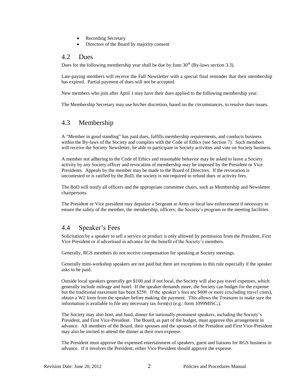- Recording Secretary
- <span id="page-5-0"></span>Directors of the Board by majority consent

# 4.2 Dues

Dues for the following membership year shall be due by June  $30<sup>th</sup>$  (By-laws section 3.3).

Late-paying members will receive the Fall Newsletter with a special final reminder that their membership has expired. Partial payment of dues will not be accepted.

New members who join after April 1 may have their dues applied to the following membership year.

The Membership Secretary may use his/her discretion, based on the circumstances, to resolve dues issues.

# <span id="page-5-1"></span>4.3 Membership

A "Member in good standing" has paid dues, fulfills membership requirements, and conducts business within the By-laws of the Society and complies with the Code of Ethics (see Section 7). Such members will receive the Society Newsletter, be able to participate in Society activities and vote on Society business.

A member not adhering to the Code of Ethics and reasonable behavior may be asked to leave a Society activity by any Society officer and revocation of membership may be imposed by the President or Vice Presidents. Appeals by the member may be made to the Board of Directors. If the revocation is uncontested or is ratified by the BoD, the society is not required to refund dues or activity fees.

The BoD will notify all officers and the appropriate committee chairs, such as Membership and Newsletter chairpersons.

The President or Vice president may deputize a Sergeant at Arms or local law enforcement if necessary to ensure the safety of the member, the membership, officers; the Society's program or the meeting facilities.

# <span id="page-5-2"></span>4.4 Speaker's Fees

Solicitation by a speaker to sell a service or product is only allowed by permission from the President, First Vice President or if advertised in advance for the benefit of the Society's members.

Generally, RGS members do not receive compensation for speaking at Society meetings.

Generally mini-workshop speakers are not paid but there are exceptions to this rule especially if the speaker asks to be paid.

Outside local speakers generally get \$100 and if not local, the Society will also pay travel expenses, which generally include mileage and hotel. If the speaker demands more, the Society can budget for the expense but the traditional maximum has been \$250. If the speaker's fees are \$600 or more (excluding travel costs), obtain a W2 form from the speaker before making the payment. This allows the Treasurer to make sure the information is available to file any necessary tax form(s) (e.g.: form 1099MISC,).

The Society may also host, and fund, dinner for nationally prominent speakers, including the Society's President, and First Vice-President. The Board, as part of the budget, must approve this arrangement in advance. All members of the Board, their spouses and the spouses of the President and First Vice-President may also be invited to attend the dinner at their own expense.

The President must approve the expensed entertainment of speakers, guest and liaisons for RGS business in advance. If it involves the President, either Vice President should approve the expense.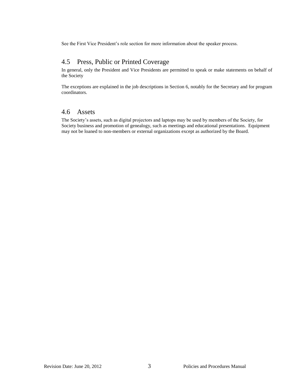See the First Vice President's role section for more information about the speaker process.

# <span id="page-6-0"></span>4.5 Press, Public or Printed Coverage

In general, only the President and Vice Presidents are permitted to speak or make statements on behalf of the Society

The exceptions are explained in the job descriptions in Section 6, notably for the Secretary and for program coordinators.

# <span id="page-6-1"></span>4.6 Assets

The Society's assets, such as digital projectors and laptops may be used by members of the Society, for Society business and promotion of genealogy, such as meetings and educational presentations. Equipment may not be loaned to non-members or external organizations except as authorized by the Board.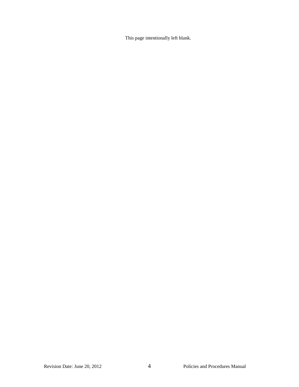This page intentionally left blank.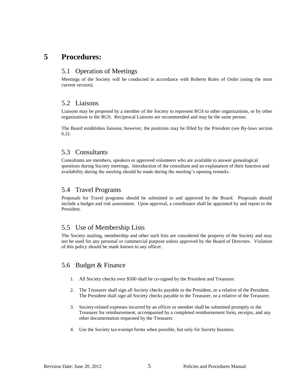# <span id="page-8-0"></span>**5 Procedures:**

# <span id="page-8-1"></span>5.1 Operation of Meetings

Meetings of the Society will be conducted in accordance with Roberts Rules of Order (using the most current version).

### <span id="page-8-2"></span>5.2 Liaisons

Liaisons may be proposed by a member of the Society to represent RGS to other organizations, or by other organizations to the RGS. Reciprocal Liaisons are recommended and may be the same person.

The Board establishes liaisons; however, the positions may be filled by the President (see By-laws section 6.2).

### <span id="page-8-3"></span>5.3 Consultants

Consultants are members, speakers or approved volunteers who are available to answer genealogical questions during Society meetings. Introduction of the consultant and an explanation of their function and availability during the meeting should be made during the meeting's opening remarks.

## <span id="page-8-4"></span>5.4 Travel Programs

Proposals for Travel programs should be submitted to and approved by the Board. Proposals should include a budget and risk assessment. Upon approval, a coordinator shall be appointed by and report to the President.

# <span id="page-8-5"></span>5.5 Use of Membership Lists

The Society mailing, membership and other such lists are considered the property of the Society and may not be used for any personal or commercial purpose unless approved by the Board of Directors. Violation of this policy should be made known to any officer.

# <span id="page-8-6"></span>5.6 Budget & Finance

- 1. All Society checks over \$500 shall be co-signed by the President and Treasurer.
- 2. The Treasurer shall sign all Society checks payable to the President, or a relative of the President. The President shall sign all Society checks payable to the Treasurer, or a relative of the Treasurer.
- 3. Society-related expenses incurred by an officer or member shall be submitted promptly to the Treasurer for reimbursement, accompanied by a completed reimbursement form, receipts, and any other documentation requested by the Treasurer.
- 4. Use the Society tax-exempt forms when possible, but only for Society business.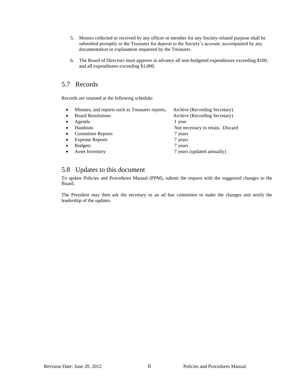- 5. Monies collected or received by any officer or member for any Society-related purpose shall be submitted promptly to the Treasurer for deposit to the Society's account, accompanied by any documentation or explanation requested by the Treasurer.
- 6. The Board of Directors must approve in advance all non-budgeted expenditures exceeding \$100, and all expenditures exceeding \$1,000.

# <span id="page-9-0"></span>5.7 Records

Records are retained at the following schedule:

| $\bullet$ | Minutes, and reports such as Treasurer reports, | Archive (Recording Secretary)    |
|-----------|-------------------------------------------------|----------------------------------|
|           | <b>Board Resolutions</b>                        | Archive (Recording Secretary)    |
| $\bullet$ | Agenda                                          | 1 year                           |
|           | Handouts                                        | Not necessary to retain. Discard |
| $\bullet$ | <b>Committee Reports</b>                        | 7 years                          |
|           | <b>Expense Reports</b>                          | 7 years                          |
|           | <b>Budgets</b>                                  | 7 years                          |
|           | <b>Asset Inventory</b>                          | 7 years (updated annually)       |
|           |                                                 |                                  |

# <span id="page-9-1"></span>5.8 Updates to this document

To update Policies and Procedures Manual (PPM), submit the request with the suggested changes to the Board.

The President may then ask the secretary or an ad hoc committee to make the changes and notify the leadership of the updates.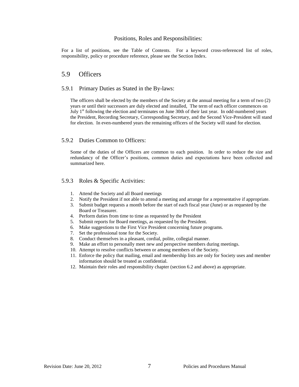#### Positions, Roles and Responsibilities:

For a list of positions, see the Table of Contents. For a keyword cross-referenced list of roles, responsibility, policy or procedure reference, please see the Section Index.

## <span id="page-10-0"></span>5.9 Officers

#### 5.9.1 Primary Duties as Stated in the By-laws:

The officers shall be elected by the members of the Society at the annual meeting for a term of two (2) years or until their successors are duly elected and installed, The term of each officer commences on July 1<sup>st</sup> following the election and terminates on June 30th of their last year. In odd-numbered years the President, Recording Secretary, Corresponding Secretary, and the Second Vice-President will stand for election. In even-numbered years the remaining officers of the Society will stand for election.

#### 5.9.2 Duties Common to Officers:

Some of the duties of the Officers are common to each position. In order to reduce the size and redundancy of the Officer's positions, common duties and expectations have been collected and summarized here.

#### 5.9.3 Roles & Specific Activities:

- 1. Attend the Society and all Board meetings
- 2. Notify the President if not able to attend a meeting and arrange for a representative if appropriate.
- 3. Submit budget requests a month before the start of each fiscal year (June) or as requested by the Board or Treasurer.
- 4. Perform duties from time to time as requested by the President
- 5. Submit reports for Board meetings, as requested by the President.
- 6. Make suggestions to the First Vice President concerning future programs.
- 7. Set the professional tone for the Society.
- 8. Conduct themselves in a pleasant, cordial, polite, collegial manner.
- 9. Make an effort to personally meet new and perspective members during meetings.
- 10. Attempt to resolve conflicts between or among members of the Society.
- 11. Enforce the policy that mailing, email and membership lists are only for Society uses and member information should be treated as confidential.
- 12. Maintain their roles and responsibility chapter (section 6.2 and above) as appropriate.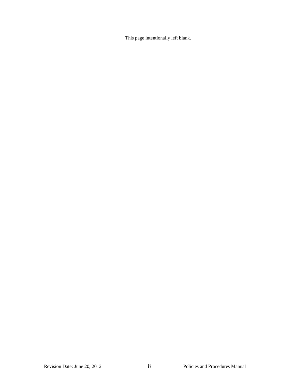This page intentionally left blank.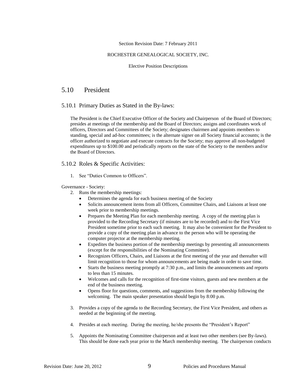#### Section Revision Date: 7 February 2011

#### ROCHESTER GENEALOGICAL SOCIETY, INC.

#### Elective Position Descriptions

## <span id="page-12-0"></span>5.10 President

#### 5.10.1 Primary Duties as Stated in the By-laws:

The President is the Chief Executive Officer of the Society and Chairperson of the Board of Directors; presides at meetings of the membership and the Board of Directors; assigns and coordinates work of officers, Directors and Committees of the Society; designates chairmen and appoints members to standing, special and ad-hoc committees; is the alternate signer on all Society financial accounts; is the officer authorized to negotiate and execute contracts for the Society; may approve all non-budgeted expenditures up to \$100.00 and periodically reports on the state of the Society to the members and/or the Board of Directors.

#### 5.10.2 Roles & Specific Activities:

1. See "Duties Common to Officers".

#### Governance - Society:

- 2. Runs the membership meetings:
	- Determines the agenda for each business meeting of the Society
	- Solicits announcement items from all Officers, Committee Chairs, and Liaisons at least one week prior to membership meetings.
	- Prepares the Meeting Plan for each membership meeting. A copy of the meeting plan is provided to the Recording Secretary (if minutes are to be recorded) and to the First Vice President sometime prior to each such meeting. It may also be convenient for the President to provide a copy of the meeting plan in advance to the person who will be operating the computer projector at the membership meeting.
	- Expedites the business portion of the membership meetings by presenting all announcements (except for the responsibilities of the Nominating Committee).
	- Recognizes Officers, Chairs, and Liaisons at the first meeting of the year and thereafter will limit recognition to those for whom announcements are being made in order to save time.
	- Starts the business meeting promptly at 7:30 p.m., and limits the announcements and reports to less than 15 minutes.
	- Welcomes and calls for the recognition of first-time visitors, guests and new members at the end of the business meeting.
	- Opens floor for questions, comments, and suggestions from the membership following the welcoming. The main speaker presentation should begin by 8:00 p.m.
- 3. Provides a copy of the agenda to the Recording Secretary, the First Vice President, and others as needed at the beginning of the meeting.
- 4. Presides at each meeting. During the meeting, he/she presents the "President's Report"
- 5. Appoints the Nominating Committee chairperson and at least two other members (see By-laws). This should be done each year prior to the March membership meeting. The chairperson conducts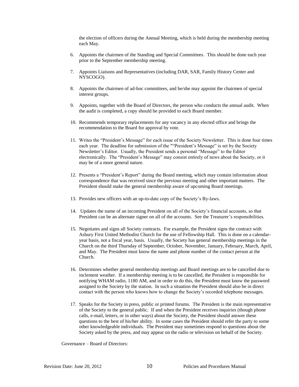the election of officers during the Annual Meeting, which is held during the membership meeting each May.

- 6. Appoints the chairmen of the Standing and Special Committees. This should be done each year prior to the September membership meeting.
- 7. Appoints Liaisons and Representatives (including DAR, SAR, Family History Center and NYSCOGO).
- 8. Appoints the chairmen of ad-hoc committees, and he/she may appoint the chairmen of special interest groups.
- 9. Appoints, together with the Board of Directors, the person who conducts the annual audit. When the audit is completed, a copy should be provided to each Board member.
- 10. Recommends temporary replacements for any vacancy in any elected office and brings the recommendation to the Board for approval by vote.
- 11. Writes the "President's Message" for each issue of the Society Newsletter. This is done four times each year. The deadline for submission of the ""President's Message" is set by the Society Newsletter's Editor. Usually, the President sends a personal "Message" to the Editor electronically. The "President's Message" may consist entirely of news about the Society, or it may be of a more general nature.
- 12. Presents a "President's Report" during the Board meeting, which may contain information about correspondence that was received since the previous meeting and other important matters. The President should make the general membership aware of upcoming Board meetings.
- 13. Provides new officers with an up-to-date copy of the Society's By-laws.
- 14. Updates the name of an incoming President on all of the Society's financial accounts, so that President can be an alternate signer on all of the accounts. See the Treasurer's responsibilities.
- 15. Negotiates and signs all Society contracts. For example, the President signs the contract with Asbury First United Methodist Church for the use of Fellowship Hall. This is done on a calendaryear basis, not a fiscal year, basis. Usually, the Society has general membership meetings in the Church on the third Thursday of September, October, November, January, February, March, April, and May. The President must know the name and phone number of the contact person at the Church.
- 16. Determines whether general membership meetings and Board meetings are to be cancelled due to inclement weather. If a membership meeting is to be cancelled, the President is responsible for notifying WHAM radio, 1180 AM, and in order to do this, the President must know the password assigned to the Society by the station. In such a situation the President should also be in direct contact with the person who knows how to change the Society's recorded telephone messages.
- 17. Speaks for the Society in press, public or printed forums. The President is the main representative of the Society to the general public. If and when the President receives inquiries (though phone calls, e-mail, letters, or in other ways) about the Society, the President should answer these questions to the best of his/her ability. In some cases the President should refer the party to some other knowledgeable individuals. The President may sometimes respond to questions about the Society asked by the press, and may appear on the radio or television on behalf of the Society.

Governance – Board of Directors: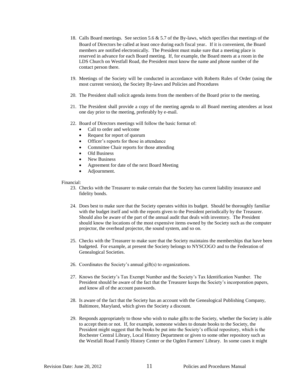- 18. Calls Board meetings. See section 5.6 & 5.7 of the By-laws, which specifies that meetings of the Board of Directors be called at least once during each fiscal year. If it is convenient, the Board members are notified electronically. The President must make sure that a meeting place is reserved in advance for each Board meeting. If, for example, the Board meets at a room in the LDS Church on Westfall Road, the President must know the name and phone number of the contact person there.
- 19. Meetings of the Society will be conducted in accordance with Roberts Rules of Order (using the most current version), the Society By-laws and Policies and Procedures
- 20. The President shall solicit agenda items from the members of the Board prior to the meeting.
- 21. The President shall provide a copy of the meeting agenda to all Board meeting attendees at least one day prior to the meeting, preferably by e-mail.
- 22. Board of Directors meetings will follow the basic format of:
	- Call to order and welcome
	- Request for report of quorum
	- Officer's reports for those in attendance
	- Committee Chair reports for those attending
	- Old Business
	- New Business
	- Agreement for date of the next Board Meeting
	- Adjournment.

Financial:

- 23. Checks with the Treasurer to make certain that the Society has current liability insurance and fidelity bonds.
- 24. Does best to make sure that the Society operates within its budget. Should be thoroughly familiar with the budget itself and with the reports given to the President periodically by the Treasurer. Should also be aware of the part of the annual audit that deals with inventory. The President should know the locations of the most expensive items owned by the Society such as the computer projector, the overhead projector, the sound system, and so on.
- 25. Checks with the Treasurer to make sure that the Society maintains the memberships that have been budgeted. For example, at present the Society belongs to NYSCOGO and to the Federation of Genealogical Societies.
- 26. Coordinates the Society's annual gift(s) to organizations.
- 27. Knows the Society's Tax Exempt Number and the Society's Tax Identification Number. The President should be aware of the fact that the Treasurer keeps the Society's incorporation papers, and know all of the account passwords.
- 28. Is aware of the fact that the Society has an account with the Genealogical Publishing Company, Baltimore, Maryland, which gives the Society a discount.
- 29. Responds appropriately to those who wish to make gifts to the Society, whether the Society is able to accept them or not. If, for example, someone wishes to donate books to the Society, the President might suggest that the books be put into the Society's official repository, which is the Rochester Central Library, Local History Department or given to some other repository such as the Westfall Road Family History Center or the Ogden Farmers' Library. In some cases it might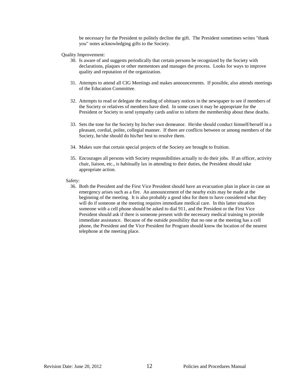be necessary for the President to politely decline the gift. The President sometimes writes "thank you" notes acknowledging gifts to the Society.

Quality Improvement:

- 30. Is aware of and suggests periodically that certain persons be recognized by the Society with declarations, plaques or other mementoes and manages the process. Looks for ways to improve quality and reputation of the organization.
- 31. Attempts to attend all CIG Meetings and makes announcements. If possible, also attends meetings of the Education Committee.
- 32. Attempts to read or delegate the reading of obituary notices in the newspaper to see if members of the Society or relatives of members have died. In some cases it may be appropriate for the President or Society to send sympathy cards and/or to inform the membership about these deaths.
- 33. Sets the tone for the Society by his/her own demeanor. He/she should conduct himself/herself in a pleasant, cordial, polite, collegial manner. If there are conflicts between or among members of the Society, he/she should do his/her best to resolve them.
- 34. Makes sure that certain special projects of the Society are brought to fruition.
- 35. Encourages all persons with Society responsibilities actually to do their jobs. If an officer, activity chair, liaison, etc., is habitually lax in attending to their duties, the President should take appropriate action.

#### Safety:

36. Both the President and the First Vice President should have an evacuation plan in place in case an emergency arises such as a fire. An announcement of the nearby exits may be made at the beginning of the meeting. It is also probably a good idea for them to have considered what they will do if someone at the meeting requires immediate medical care. In this latter situation someone with a cell phone should be asked to dial 911, and the President or the First Vice President should ask if there is someone present with the necessary medical training to provide immediate assistance. Because of the outside possibility that no one at the meeting has a cell phone, the President and the Vice President for Program should know the location of the nearest telephone at the meeting place.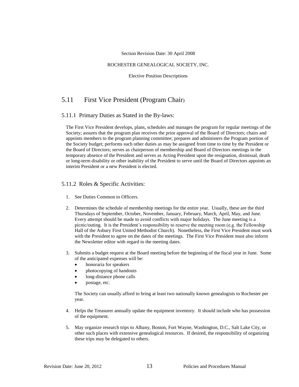Section Revision Date: 30 April 2008

#### ROCHESTER GENEALOGICAL SOCIETY, INC.

Elective Position Descriptions

# <span id="page-16-0"></span>5.11 First Vice President (Program Chair)

#### 5.11.1 Primary Duties as Stated in the By-laws:

The First Vice President develops, plans, schedules and manages the program for regular meetings of the Society; assures that the program plan receives the prior approval of the Board of Directors; chairs and appoints members to the program planning committee; prepares and administers the Program portion of the Society budget; performs such other duties as may be assigned from time to time by the President or the Board of Directors; serves as chairperson of membership and Board of Directors meetings in the temporary absence of the President and serves as Acting President upon the resignation, dismissal, death or long-term disability or other inability of the President to serve until the Board of Directors appoints an interim President or a new President is elected.

#### 5.11.2 Roles & Specific Activities:

- 1. See Duties Common to Officers.
- 2. Determines the schedule of membership meetings for the entire year. Usually, these are the third Thursdays of September, October, November, January, February, March, April, May, and June. Every attempt should be made to avoid conflicts with major holidays. The June meeting is a picnic/outing. It is the President's responsibility to reserve the meeting room (e.g. the Fellowship Hall of the Asbury First United Methodist Church). Nonetheless, the First Vice President must work with the President to agree on the dates of the meetings. The First Vice President must also inform the Newsletter editor with regard to the meeting dates.
- 3. Submits a budget request at the Board meeting before the beginning of the fiscal year in June. Some of the anticipated expenses will be:
	- honoraria for speakers
	- photocopying of handouts
	- long-distance phone calls
	- postage, etc.

The Society can usually afford to bring at least two nationally known genealogists to Rochester per year.

- 4. Helps the Treasurer annually update the equipment inventory. It should include who has possession of the equipment.
- 5. May organize research trips to Albany, Boston, Fort Wayne, Washington, D.C., Salt Lake City, or other such places with extensive genealogical resources. If desired, the responsibility of organizing these trips may be delegated to others.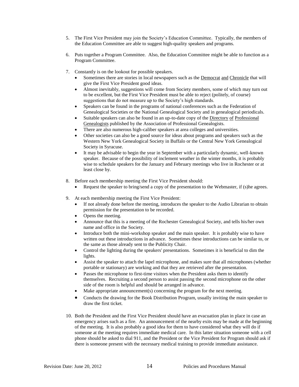- 5. The First Vice President may join the Society's Education Committee. Typically, the members of the Education Committee are able to suggest high-quality speakers and programs.
- 6. Puts together a Program Committee. Also, the Education Committee might be able to function as a Program Committee.
- 7. Constantly is on the lookout for possible speakers.
	- Sometimes there are stories in local newspapers such as the Democrat and Chronicle that will give the First Vice President good ideas.
	- Almost inevitably, suggestions will come from Society members, some of which may turn out to be excellent, but the First Vice President must be able to reject (politely, of course) suggestions that do not measure up to the Society's high standards.
	- Speakers can be found in the programs of national conferences such as the Federation of Genealogical Societies or the National Genealogical Society and in genealogical periodicals.
	- Suitable speakers can also be found in an up-to-date copy of the Directory of Professional Genealogists published by the Association of Professional Genealogists.
	- There are also numerous high-caliber speakers at area colleges and universities.
	- Other societies can also be a good source for ideas about programs and speakers such as the Western New York Genealogical Society in Buffalo or the Central New York Genealogical Society in Syracuse.
	- It may be advisable to begin the year in September with a particularly dynamic, well-known speaker. Because of the possibility of inclement weather in the winter months, it is probably wise to schedule speakers for the January and February meetings who live in Rochester or at least close by.
- 8. Before each membership meeting the First Vice President should:
	- Request the speaker to bring/send a copy of the presentation to the Webmaster, if (s)he agrees.
- 9. At each membership meeting the First Vice President:
	- If not already done before the meeting, introduces the speaker to the Audio Librarian to obtain permission for the presentation to be recorded.
	- Opens the meeting.
	- Announce that this is a meeting of the Rochester Genealogical Society, and tells his/her own name and office in the Society.
	- Introduce both the mini-workshop speaker and the main speaker. It is probably wise to have written out these introductions in advance. Sometimes these introductions can be similar to, or the same as those already sent to the Publicity Chair.
	- Control the lighting during the speakers' presentations. Sometimes it is beneficial to dim the lights.
	- Assist the speaker to attach the lapel microphone, and makes sure that all microphones (whether portable or stationary) are working and that they are retrieved after the presentation.
	- Passes the microphone to first-time visitors when the President asks them to identify themselves. Recruiting a second person to assist passing the second microphone on the other side of the room is helpful and should be arranged in advance.
	- Make appropriate announcement(s) concerning the program for the next meeting.
	- Conducts the drawing for the Book Distribution Program, usually inviting the main speaker to draw the first ticket.
- 10. Both the President and the First Vice President should have an evacuation plan in place in case an emergency arises such as a fire. An announcement of the nearby exits may be made at the beginning of the meeting. It is also probably a good idea for them to have considered what they will do if someone at the meeting requires immediate medical care. In this latter situation someone with a cell phone should be asked to dial 911, and the President or the Vice President for Program should ask if there is someone present with the necessary medical training to provide immediate assistance.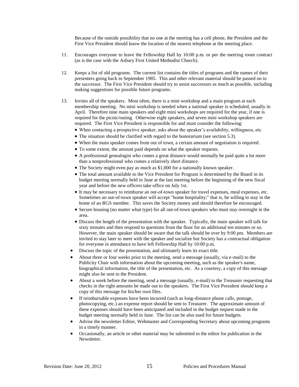Because of the outside possibility that no one at the meeting has a cell phone, the President and the First Vice President should know the location of the nearest telephone at the meeting place.

- 11. Encourages everyone to leave the Fellowship Hall by 10:00 p.m. or per the meeting room contract (as is the case with the Asbury First United Methodist Church).
- 12. Keeps a list of old programs. The current list contains the titles of programs and the names of their presenters going back to September 1985. This and other relevant material should be passed on to the successor. The First Vice President should try to assist successors as much as possible, including making suggestions for possible future programs.
- 13. Invites all of the speakers. Most often, there is a mini workshop and a main program at each membership meeting. No mini workshop is needed when a national speaker is scheduled, usually in April. Therefore nine main speakers and eight mini workshops are required for the year, if one is required for the picnic/outing. Otherwise eight speakers, and seven mini workshop speakers are required. The First Vice President is responsible for and must consider the following:
	- When contacting a prospective speaker, asks about the speaker's availability, willingness, etc.
	- The situation should be clarified with regard to the honorarium (see section 5.3).
	- When the main speaker comes from out of town, a certain amount of negotiation is required.
	- To some extent, the amount paid depends on what the speaker requests.
	- A professional genealogist who comes a great distance would normally be paid quite a lot more than a nonprofessional who comes a relatively short distance.
	- The Society might even pay as much as \$1,000 for a nationally known speaker.
	- The total amount available to the Vice President for Program is determined by the Board in its budget meeting normally held in June at the last meeting before the beginning of the new fiscal year and before the new officers take office on July 1st.
	- It may be necessary to reimburse an out-of-town speaker for travel expenses, meal expenses, etc. Sometimes an out-of-town speaker will accept "home hospitality;" that is, be willing to stay in the home of an RGS member. This saves the Society money and should therefore be encouraged.
	- Secure housing (no matter what type) for all out-of-town speakers who must stay overnight in the area.
	- Discuss the length of the presentation with the speaker. Typically, the main speaker will talk for sixty minutes and then respond to questions from the floor for an additional ten minutes or so. However, the main speaker should be aware that the talk should be over by 9:00 pm. Members are invited to stay later to meet with the speaker and socialize but Society has a contractual obligation for everyone in attendance to have left Fellowship Hall by 10:00 p.m.
	- Discuss the topic of the presentation, and ultimately learn its exact title.
	- About three or four weeks prior to the meeting, send a message (usually, via e-mail) to the Publicity Chair with information about the upcoming meeting, such as the speaker's name, biographical information, the title of the presentation, etc. As a courtesy, a copy of this message might also be sent to the President.
	- About a week before the meeting, send a message (usually, e-mail) to the Treasurer requesting that checks in the right amounts be made out to the speakers. The First Vice President should keep a copy of this message for his/her own files.
	- If reimbursable expenses have been incurred (such as long-distance phone calls, postage, photocopying, etc.) an expense report should be sent to Treasurer. The approximate amount of these expenses should have been anticipated and included in the budget request made in the budget meeting normally held in June. The list can be also used for future budgets.
	- Advise the newsletter Editor, Webmaster and Corresponding Secretary about upcoming programs in a timely manner.
	- Occasionally, an article or other material may be submitted to the editor for publication in the Newsletter.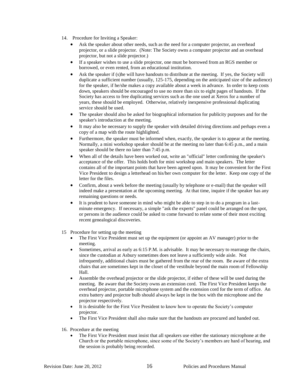- 14. Procedure for Inviting a Speaker:
	- Ask the speaker about other needs, such as the need for a computer projector, an overhead projector, or a slide projector. (Note: The Society owns a computer projector and an overhead projector, but not a slide projector.)
	- If a speaker wishes to use a slide projector, one must be borrowed from an RGS member or borrowed, or even rented, from an educational institution.
	- Ask the speaker if (s)he will have handouts to distribute at the meeting. If yes, the Society will duplicate a sufficient number (usually, 125-175, depending on the anticipated size of the audience) for the speaker, if he/she makes a copy available about a week in advance. In order to keep costs down, speakers should be encouraged to use no more than six to eight pages of handouts. If the Society has access to free duplicating services such as the one used at Xerox for a number of years, these should be employed. Otherwise, relatively inexpensive professional duplicating service should be used.
	- The speaker should also be asked for biographical information for publicity purposes and for the speaker's introduction at the meeting.
	- It may also be necessary to supply the speaker with detailed driving directions and perhaps even a copy of a map with the route highlighted.
	- Furthermore, the speaker must be informed when, exactly, the speaker is to appear at the meeting. Normally, a mini workshop speaker should be at the meeting no later than 6:45 p.m., and a main speaker should be there no later than 7:45 p.m.
	- When all of the details have been worked out, write an "official" letter confirming the speaker's acceptance of the offer. This holds both for mini workshop and main speakers. The letter contains all of the important points that have been agreed upon. It may be convenient for the First Vice President to design a letterhead on his/her own computer for the letter. Keep one copy of the letter for the files.
	- Confirm, about a week before the meeting (usually by telephone or e-mail) that the speaker will indeed make a presentation at the upcoming meeting. At that time, inquire if the speaker has any remaining questions or needs.
	- It is prudent to have someone in mind who might be able to step in to do a program in a lastminute emergency. If necessary, a simple "ask the experts" panel could be arranged on the spot, or persons in the audience could be asked to come forward to relate some of their most exciting recent genealogical discoveries.
- 15 Procedure for setting up the meeting
	- The First Vice President must set up the equipment (or appoint an AV manager) prior to the meeting.
	- Sometimes, arrival as early as 6:15 P.M. is advisable. It may be necessary to rearrange the chairs, since the custodian at Asbury sometimes does not leave a sufficiently wide aisle. Not infrequently, additional chairs must be gathered from the rear of the room. Be aware of the extra chairs that are sometimes kept in the closet of the vestibule beyond the main room of Fellowship Hall.
	- Assemble the overhead projector or the slide projector, if either of these will be used during the meeting. Be aware that the Society owns an extension cord. The First Vice President keeps the overhead projector, portable microphone system and the extension cord for the term of office. An extra battery and projector bulb should always be kept in the box with the microphone and the projector respectively.
	- It is desirable for the First Vice President to know how to operate the Society's computer projector.
	- The First Vice President shall also make sure that the handouts are procured and handed out.
- 16. Procedure at the meeting
	- The First Vice President must insist that all speakers use either the stationary microphone at the Church or the portable microphone, since some of the Society's members are hard of hearing, and the session is probably being recorded.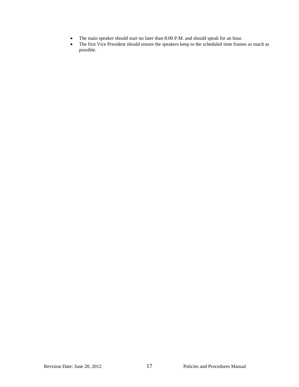- The main speaker should start no later than 8:00 P.M. and should speak for an hour.
- The first Vice President should ensure the speakers keep to the scheduled time frames as much as possible.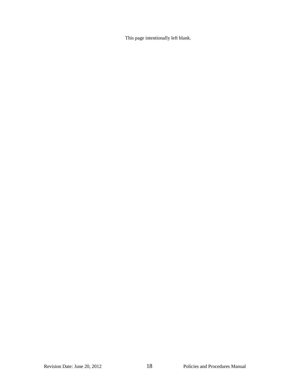This page intentionally left blank.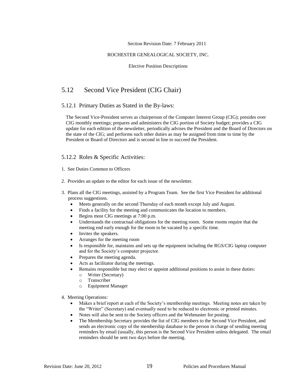#### Section Revision Date: 7 February 2011

#### ROCHESTER GENEALOGICAL SOCIETY, INC.

#### Elective Position Descriptions

# <span id="page-22-0"></span>5.12 Second Vice President (CIG Chair)

#### 5.12.1 Primary Duties as Stated in the By-laws:

The Second Vice-President serves as chairperson of the Computer Interest Group (CIG); presides over CIG monthly meetings; prepares and administers the CIG portion of Society budget; provides a CIG update for each edition of the newsletter, periodically advises the President and the Board of Directors on the state of the CIG; and performs such other duties as may be assigned from time to time by the President or Board of Directors and is second in line to succeed the President.

#### 5.12.2 Roles & Specific Activities:

- 1. See Duties Common to Officers
- 2. Provides an update to the editor for each issue of the newsletter.
- 3. Plans all the CIG meetings, assisted by a Program Team. See the first Vice President for additional process suggestions.
	- Meets generally on the second Thursday of each month except July and August.
	- Finds a facility for the meeting and communicates the location to members.
	- Begins most CIG meetings at 7:00 p.m.
	- Understands the contractual obligations for the meeting room. Some rooms require that the meeting end early enough for the room to be vacated by a specific time.
	- Invites the speakers.
	- Arranges for the meeting room
	- Is responsible for, maintains and sets up the equipment including the RGS/CIG laptop computer and for the Society's computer projector.
	- Prepares the meeting agenda.
	- Acts as facilitator during the meetings.
	- Remains responsible but may elect or appoint additional positions to assist in these duties:
		- o Writer (Secretary)
		- o Transcriber
		- o Equipment Manager
- 4. Meeting Operations:
	- Makes a brief report at each of the Society's membership meetings. Meeting notes are taken by the "Writer" (Secretary) and eventually need to be reduced to electronic or printed minutes.
	- Notes will also be sent to the Society officers and the Webmaster for posting.
	- The Membership Secretary provides the list of CIG members to the Second Vice President, and sends an electronic copy of the membership database to the person in charge of sending meeting reminders by email (usually, this person is the Second Vice President unless delegated. The email reminders should be sent two days before the meeting.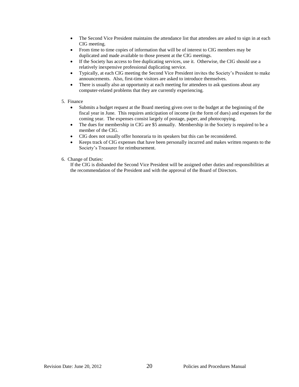- The Second Vice President maintains the attendance list that attendees are asked to sign in at each CIG meeting.
- From time to time copies of information that will be of interest to CIG members may be duplicated and made available to those present at the CIG meetings.
- If the Society has access to free duplicating services, use it. Otherwise, the CIG should use a relatively inexpensive professional duplicating service.
- Typically, at each CIG meeting the Second Vice President invites the Society's President to make announcements. Also, first-time visitors are asked to introduce themselves.
- There is usually also an opportunity at each meeting for attendees to ask questions about any computer-related problems that they are currently experiencing.
- 5. Finance
	- Submits a budget request at the Board meeting given over to the budget at the beginning of the fiscal year in June. This requires anticipation of income (in the form of dues) and expenses for the coming year. The expenses consist largely of postage, paper, and photocopying.
	- The dues for membership in CIG are \$5 annually. Membership in the Society is required to be a member of the CIG.
	- CIG does not usually offer honoraria to its speakers but this can be reconsidered.
	- Keeps track of CIG expenses that have been personally incurred and makes written requests to the Society's Treasurer for reimbursement.
- 6. Change of Duties:

If the CIG is disbanded the Second Vice President will be assigned other duties and responsibilities at the recommendation of the President and with the approval of the Board of Directors.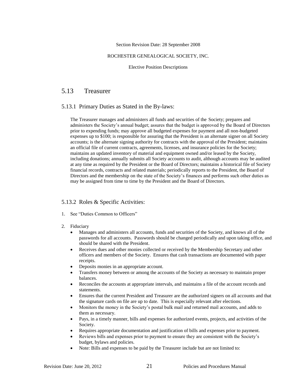#### Section Revision Date: 28 September 2008

#### ROCHESTER GENEALOGICAL SOCIETY, INC.

Elective Position Descriptions

# <span id="page-24-0"></span>5.13 Treasurer

#### 5.13.1 Primary Duties as Stated in the By-laws:

The Treasurer manages and administers all funds and securities of the Society; prepares and administers the Society's annual budget; assures that the budget is approved by the Board of Directors prior to expending funds; may approve all budgeted expenses for payment and all non-budgeted expenses up to \$100; is responsible for assuring that the President is an alternate signer on all Society accounts; is the alternate signing authority for contracts with the approval of the President; maintains an official file of current contracts, agreements, licenses, and insurance policies for the Society; maintains an updated inventory of material and equipment owned and/or leased by the Society, including donations; annually submits all Society accounts to audit, although accounts may be audited at any time as required by the President or the Board of Directors; maintains a historical file of Society financial records, contracts and related materials; periodically reports to the President, the Board of Directors and the membership on the state of the Society's finances and performs such other duties as may be assigned from time to time by the President and the Board of Directors.

#### 5.13.2 Roles & Specific Activities:

- 1. See "Duties Common to Officers"
- 2. Fiduciary
	- Manages and administers all accounts, funds and securities of the Society, and knows all of the passwords for all accounts. Passwords should be changed periodically and upon taking office, and should be shared with the President.
	- Receives dues and other monies collected or received by the Membership Secretary and other officers and members of the Society. Ensures that cash transactions are documented with paper receipts.
	- Deposits monies in an appropriate account.
	- Transfers money between or among the accounts of the Society as necessary to maintain proper balances.
	- Reconciles the accounts at appropriate intervals, and maintains a file of the account records and statements.
	- Ensures that the current President and Treasurer are the authorized signers on all accounts and that the signature cards on file are up to date. This is especially relevant after elections.
	- Monitors the money in the Society's postal bulk mail and returned mail accounts, and adds to them as necessary.
	- Pays, in a timely manner, bills and expenses for authorized events, projects, and activities of the Society.
	- Requires appropriate documentation and justification of bills and expenses prior to payment.
	- Reviews bills and expenses prior to payment to ensure they are consistent with the Society's budget, bylaws and policies.
	- Note: Bills and expenses to be paid by the Treasurer include but are not limited to: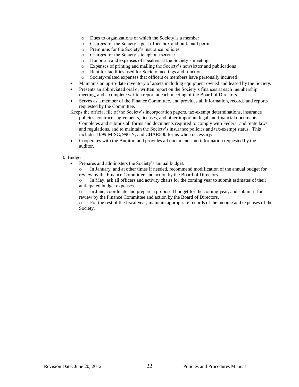- o Dues to organizations of which the Society is a member
- o Charges for the Society's post office box and bulk mail permit
- o Premiums for the Society's insurance policies
- o Charges for the Society's telephone service
- o Honoraria and expenses of speakers at the Society's meetings
- o Expenses of printing and mailing the Society's newsletter and publications
- o Rent for facilities used for Society meetings and functions
- o Society-related expenses that officers or members have personally incurred
- Maintains an up-to-date inventory of assets including equipment owned and leased by the Society.
- Presents an abbreviated oral or written report on the Society's finances at each membership meeting, and a complete written report at each meeting of the Board of Directors.
- Serves as a member of the Finance Committee, and provides all information, records and reports requested by the Committee.
- Keeps the official file of the Society's incorporation papers, tax-exempt determinations, insurance policies, contracts, agreements, licenses, and other important legal and financial documents. Completes and submits all forms and documents required to comply with Federal and State laws and regulations, and to maintain the Society's insurance policies and tax-exempt status. This includes 1099-MISC, 990-N, and CHAR500 forms when necessary.
- Cooperates with the Auditor, and provides all documents and information requested by the auditor.

#### 3. Budget

- Prepares and administers the Society's annual budget.
	- In January, and at other times if needed, recommend modification of the annual budget for review by the Finance Committee and action by the Board of Directors.

In May, ask all officers and activity chairs for the coming year to submit estimates of their anticipated budget expenses.

o In June, coordinate and prepare a proposed budget for the coming year, and submit it for review by the Finance Committee and action by the Board of Directors.

o For the rest of the fiscal year, maintain appropriate records of the income and expenses of the Society.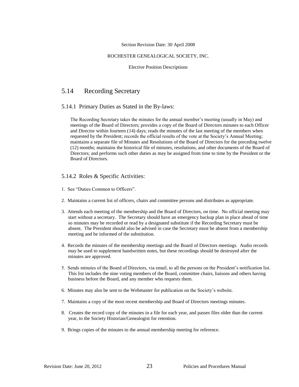#### Section Revision Date: 30 April 2008

#### ROCHESTER GENEALOGICAL SOCIETY, INC.

#### Elective Position Descriptions

### <span id="page-26-0"></span>5.14 Recording Secretary

#### 5.14.1 Primary Duties as Stated in the By-laws:

The Recording Secretary takes the minutes for the annual member's meeting (usually in May) and meetings of the Board of Directors; provides a copy of the Board of Directors minutes to each Officer and Director within fourteen (14) days; reads the minutes of the last meeting of the members when requested by the President; records the official results of the vote at the Society's Annual Meeting; maintains a separate file of Minutes and Resolutions of the Board of Directors for the preceding twelve (12) months; maintains the historical file of minutes, resolutions, and other documents of the Board of Directors; and performs such other duties as may be assigned from time to time by the President or the Board of Directors.

#### 5.14.2 Roles & Specific Activities:

- 1. See "Duties Common to Officers".
- 2. Maintains a current list of officers, chairs and committee persons and distributes as appropriate.
- 3. Attends each meeting of the membership and the Board of Directors, on time. No official meeting may start without a secretary. The Secretary should have an emergency backup plan in place ahead of time so minutes may be recorded or read by a designated substitute if the Recording Secretary must be absent. The President should also be advised in case the Secretary must be absent from a membership meeting and be informed of the substitution.
- 4. Records the minutes of the membership meetings and the Board of Directors meetings. Audio records may be used to supplement handwritten notes, but these recordings should be destroyed after the minutes are approved.
- 5. Sends minutes of the Board of Directors, via email, to all the persons on the President's notification list. This list includes the nine voting members of the Board, committee chairs, liaisons and others having business before the Board, and any member who requests them.
- 6. Minutes may also be sent to the Webmaster for publication on the Society's website.
- 7. Maintains a copy of the most recent membership and Board of Directors meetings minutes.
- 8. Creates the record copy of the minutes in a file for each year, and passes files older than the current year, to the Society Historian/Genealogist for retention.
- 9. Brings copies of the minutes to the annual membership meeting for reference.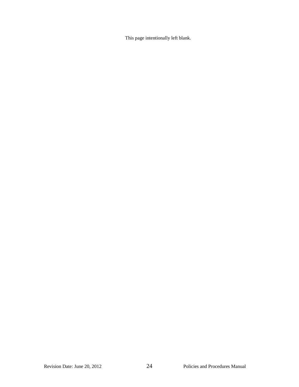This page intentionally left blank.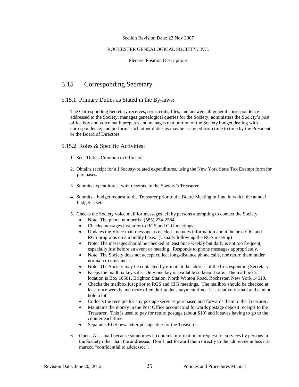#### Section Revision Date: 22 Nov 2007

#### ROCHESTER GENEALOGICAL SOCIETY, INC.

Elective Position Descriptions

# <span id="page-28-0"></span>5.15 Corresponding Secretary

#### 5.15.1 Primary Duties as Stated in the By-laws:

The Corresponding Secretary receives, sorts, edits, files, and answers all general correspondence addressed to the Society; manages genealogical queries for the Society; administers the Society's post office box and voice mail; prepares and manages that portion of the Society budget dealing with correspondence; and performs such other duties as may be assigned from time to time by the President or the Board of Directors.

#### 5.15.2 Roles & Specific Activities:

- 1. See "Duties Common to Officers"
- 2. Obtains receipt for all Society-related expenditures, using the New York State Tax Exempt form for purchases.
- 3. Submits expenditures, with receipts, to the Society's Treasurer.
- 4. Submits a budget request to the Treasurer prior to the Board Meeting in June in which the annual budget is set.
- 5. Checks the Society voice mail for messages left by persons attempting to contact the Society.
	- Note: The phone number is: (585) 234-2584.
	- Checks messages just prior to RGS and CIG meetings.
	- Updates the Voice mail message as needed. Includes information about the next CIG and RGS programs on a monthly basis. (Usually following the RGS meeting)
	- Note: The messages should be checked at least once weekly but daily is not too frequent, especially just before an event or meeting. Responds to phone messages appropriately.
	- Note: The Society does not accept collect long-distance phone calls, nor return them under normal circumstances.
	- Note: The Society may be contacted by e-mail at the address of the Corresponding Secretary.
	- Keeps the mailbox key safe. Only one key is available so keep it safe. The mail box's location is Box 10501, Brighton Station, North Winton Road, Rochester, New York 14610.
	- Checks the mailbox just prior to RGS and CIG meetings. The mailbox should be checked at least once weekly and more often during dues payment time. It is relatively small and cannot hold a lot.
	- Collects the receipts for any postage services purchased and forwards them to the Treasurer.
	- Maintains the money in the Post Office account and forwards postage deposit receipts to the Treasurer. This is used to pay for return postage (about \$10) and it saves having to go to the counter each time.
	- Separates RGS newsletter postage due for the Treasurer.
- 6. Opens ALL mail because sometimes it contains information or request for services by persons in the Society other than the addressee. Don't just forward them directly to the addressee unless it is marked "confidential to addressee".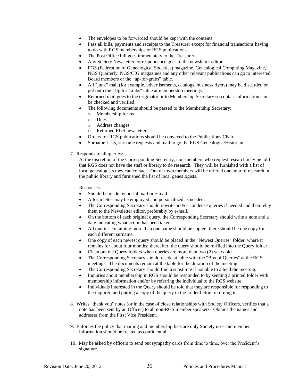- The envelopes to be forwarded should be kept with the contents.
- Pass all bills, payments and receipts to the Treasurer except for financial transactions having to do with RGS memberships or RGS publications..
- The Post Office bill goes immediately to the Treasurer.
- Any Society Newsletter correspondence goes to the newsletter editor.
- FGS (Federation of Genealogical Societies) magazine, Genealogical Computing Magazine, NGS Quarterly, NGS/CIG magazines and any other relevant publications can go to interested Board members or the "up-for-grabs" table.
- All "junk" mail (for example, advertisements, catalogs, business flyers) may be discarded or put onto the "Up for Grabs" table at membership meetings.
- Returned mail goes to the originator or to Membership Secretary so contact information can be checked and verified.
- The following documents should be passed to the Membership Secretary:
	- o Membership forms
	- o Dues
	- o Address changes
	- o Returned RGS newsletters
- Orders for RGS publications should be conveyed to the Publications Chair.
- Surname Lists, surname requests and mail to go the RGS Genealogist/Historian.
- 7. Responds to all queries:

At the discretion of the Corresponding Secretary, non-members who request research may be told that RGS does not have the staff or library to do research. They will be furnished with a list of local genealogists they can contact. Out of town members will be offered one hour of research in the public library and furnished the list of local genealogists.

Responses:

- Should be made by postal mail or e-mail.
- A form letter may be employed and personalized as needed.
- The Corresponding Secretary should rewrite and/or condense queries if needed and then relay them to the Newsletter editor, preferably by e-mail.
- On the bottom of each original query, the Corresponding Secretary should write a note and a date indicating what action has been taken.
- All queries containing more than one name should be copied; there should be one copy for each different surname.
- One copy of each newest query should be placed in the "Newest Queries" folder, where it remains for about four months; thereafter, the query should be re-filed into the Query folder.
- Clean out the Query folders when queries are more than two (2) years old.
- The Corresponding Secretary should reside at table with the "Box of Queries" at the RGS meetings. The documents remain at the table for the duration of the meeting.
- The Corresponding Secretary should find a substitute if not able to attend the meeting.
- Inquiries about membership in RGS should be responded to by sending a printed folder with membership information and/or by referring the individual to the RGS website.
- Individuals interested in the Query should be told that they are responsible for responding to the inquirer, and putting a copy of the query in the folder before returning it.
- 8. Writes "thank you" notes (or in the case of close relationships with Society Officers, verifies that a note has been sent by an Officer) to all non-RGS member speakers. Obtains the names and addresses from the First Vice President.
- 9. Enforces the policy that mailing and membership lists are only Society uses and member information should be treated as confidential.
- 10. May be asked by officers to send out sympathy cards from time to time, over the President's signature.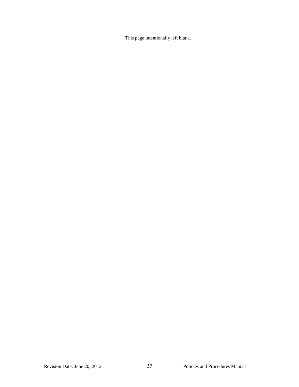This page intentionally left blank.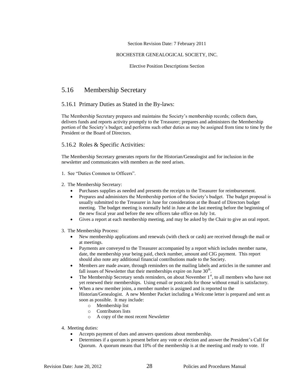#### Section Revision Date: 7 February 2011

#### ROCHESTER GENEALOGICAL SOCIETY, INC.

Elective Position Descriptions Section

# <span id="page-31-0"></span>5.16 Membership Secretary

#### 5.16.1 Primary Duties as Stated in the By-laws:

The Membership Secretary prepares and maintains the Society's membership records; collects dues, delivers funds and reports activity promptly to the Treasurer; prepares and administers the Membership portion of the Society's budget; and performs such other duties as may be assigned from time to time by the President or the Board of Directors.

#### 5.16.2 Roles & Specific Activities:

The Membership Secretary generates reports for the Historian/Genealogist and for inclusion in the newsletter and communicates with members as the need arises.

- 1. See "Duties Common to Officers".
- 2. The Membership Secretary:
	- Purchases supplies as needed and presents the receipts to the Treasurer for reimbursement.
	- Prepares and administers the Membership portion of the Society's budget. The budget proposal is usually submitted to the Treasurer in June for consideration at the Board of Directors budget meeting. The budget meeting is normally held in June at the last meeting before the beginning of the new fiscal year and before the new officers take office on July 1st.
	- Gives a report at each membership meeting, and may be asked by the Chair to give an oral report.
- 3. The Membership Process:
	- New membership applications and renewals (with check or cash) are received through the mail or at meetings.
	- Payments are conveyed to the Treasurer accompanied by a report which includes member name, date, the membership year being paid, check number, amount and CIG payment. This report should also note any additional financial contributions made to the Society.
	- Members are made aware, through reminders on the mailing labels and articles in the summer and fall issues of Newsletter that their memberships expire on June  $30<sup>th</sup>$ .
	- The Membership Secretary sends reminders, on about November  $1<sup>st</sup>$ , to all members who have not yet renewed their memberships. Using email or postcards for those without email is satisfactory.
	- When a new member joins, a member number is assigned and is reported to the Historian/Genealogist. A new Member Packet including a Welcome letter is prepared and sent as soon as possible. It may include:
		- o Membership list
		- o Contributors lists
		- o A copy of the most recent Newsletter
- 4. Meeting duties:
	- Accepts payment of dues and answers questions about membership.
	- Determines if a quorum is present before any vote or election and answer the President's Call for Quorum. A quorum means that 10% of the membership is at the meeting and ready to vote. If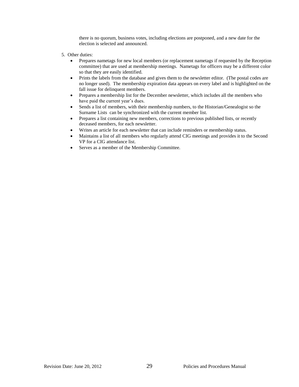there is no quorum, business votes, including elections are postponed, and a new date for the election is selected and announced.

- 5. Other duties:
	- Prepares nametags for new local members (or replacement nametags if requested by the Reception committee) that are used at membership meetings. Nametags for officers may be a different color so that they are easily identified.
	- Prints the labels from the database and gives them to the newsletter editor. (The postal codes are no longer used). The membership expiration data appears on every label and is highlighted on the fall issue for delinquent members.
	- Prepares a membership list for the December newsletter, which includes all the members who have paid the current year's dues.
	- Sends a list of members, with their membership numbers, to the Historian/Genealogist so the Surname Lists can be synchronized with the current member list.
	- Prepares a list containing new members, corrections to previous published lists, or recently deceased members, for each newsletter.
	- Writes an article for each newsletter that can include reminders or membership status.
	- Maintains a list of all members who regularly attend CIG meetings and provides it to the Second VP for a CIG attendance list.
	- Serves as a member of the Membership Committee.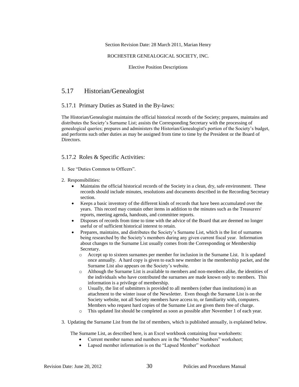Section Revision Date: 28 March 2011, Marian Henry

#### ROCHESTER GENEALOGICAL SOCIETY, INC.

Elective Position Descriptions

## <span id="page-33-0"></span>5.17 Historian/Genealogist

#### 5.17.1 Primary Duties as Stated in the By-laws:

The Historian/Genealogist maintains the official historical records of the Society; prepares, maintains and distributes the Society's Surname List; assists the Corresponding Secretary with the processing of genealogical queries; prepares and administers the Historian/Genealogist's portion of the Society's budget, and performs such other duties as may be assigned from time to time by the President or the Board of Directors.

#### 5.17.2 Roles & Specific Activities:

- 1. See "Duties Common to Officers".
- 2. Responsibilities:
	- Maintains the official historical records of the Society in a clean, dry, safe environment. These records should include minutes, resolutions and documents described in the Recording Secretary section.
	- Keeps a basic inventory of the different kinds of records that have been accumulated over the years. This record may contain other items in addition to the minutes such as the Treasurers' reports, meeting agenda, handouts, and committee reports.
	- Disposes of records from time to time with the advice of the Board that are deemed no longer useful or of sufficient historical interest to retain.
	- Prepares, maintains, and distributes the Society's Surname List, which is the list of surnames being researched by the Society's members during any given current fiscal year. Information about changes to the Surname List usually comes from the Corresponding or Membership Secretary.
		- o Accept up to sixteen surnames per member for inclusion in the Surname List. It is updated once annually. A hard copy is given to each new member in the membership packet, and the Surname List also appears on the Society's website.
		- o Although the Surname List is available to members and non-members alike, the identities of the individuals who have contributed the surnames are made known only to members. This information is a privilege of membership.
		- $\circ$  Usually, the list of submitters is provided to all members (other than institutions) in an attachment to the winter issue of the Newsletter. Even though the Surname List is on the Society website, not all Society members have access to, or familiarity with, computers. Members who request hard copies of the Surname List are given them free of charge.
		- o This updated list should be completed as soon as possible after November 1 of each year.
- 3. Updating the Surname List from the list of members, which is published annually, is explained below.

The Surname List, as described here, is an Excel workbook containing four worksheets:

- Current member names and numbers are in the "Member Numbers" worksheet;
- Lapsed member information is on the "Lapsed Member" worksheet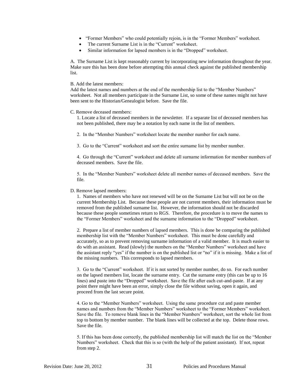- "Former Members" who could potentially rejoin, is in the "Former Members" worksheet.
- The current Surname List is in the "Current" worksheet.
- Similar information for lapsed members is in the "Dropped" worksheet.

A. The Surname List is kept reasonably current by incorporating new information throughout the year. Make sure this has been done before attempting this annual check against the published membership list.

B. Add the latest members:

Add the latest names and numbers at the end of the membership list to the "Member Numbers" worksheet. Not all members participate in the Surname List, so some of these names might not have been sent to the Historian/Genealogist before. Save the file.

#### C. Remove deceased members:

1. Locate a list of deceased members in the newsletter. If a separate list of deceased members has not been published, there may be a notation by each name in the list of members.

- 2. In the "Member Numbers" worksheet locate the member number for each name.
- 3. Go to the "Current" worksheet and sort the entire surname list by member number.

4. Go through the "Current" worksheet and delete all surname information for member numbers of deceased members. Save the file.

5. In the "Member Numbers" worksheet delete all member names of deceased members. Save the file.

#### D. Remove lapsed members:

1. Names of members who have not renewed will be on the Surname List but will not be on the current Membership List. Because these people are not current members, their information must be removed from the published surname list. However, the information should not be discarded because these people sometimes return to RGS. Therefore, the procedure is to move the names to the "Former Members" worksheet and the surname information to the "Dropped" worksheet.

2. Prepare a list of member numbers of lapsed members. This is done be comparing the published membership list with the "Member Numbers" worksheet. This must be done carefully and accurately, so as to prevent removing surname information of a valid member. It is much easier to do with an assistant. Read (slowly) the numbers on the "Member Numbers" worksheet and have the assistant reply "yes" if the number is on the published list or "no" if it is missing. Make a list of the missing numbers. This corresponds to lapsed members.

3. Go to the "Current" worksheet. If it is not sorted by member number, do so. For each number on the lapsed members list, locate the surname entry. Cut the surname entry (this can be up to 16 lines) and paste into the "Dropped" worksheet. Save the file after each cut-and-paste. If at any point there might have been an error, simply close the file without saving, open it again, and proceed from the last secure point.

4. Go to the "Member Numbers" worksheet. Using the same procedure cut and paste member names and numbers from the "Member Numbers" worksheet to the "Former Members" worksheet. Save the file. To remove blank lines in the "Member Numbers" worksheet, sort the whole list from top to bottom by member number. The blank lines will be collected at the top. Delete those rows. Save the file.

5. If this has been done correctly, the published membership list will match the list on the "Member Numbers" worksheet. Check that this is so (with the help of the patient assistant). If not, repeat from step 2.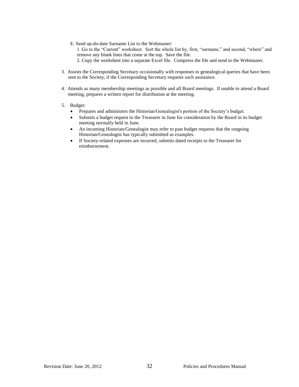- E. Send up-do-date Surname List to the Webmaster:
	- 1. Go to the "Current" worksheet. Sort the whole list by, first, "surname," and second, "where" and remove any blank lines that come at the top. Save the file.
	- 2. Copy the worksheet into a separate Excel file. Compress the file and send to the Webmaster.
- 3. Assists the Corresponding Secretary occasionally with responses to genealogical queries that have been sent to the Society, if the Corresponding Secretary requests such assistance.
- 4. Attends as many membership meetings as possible and all Board meetings. If unable to attend a Board meeting, prepares a written report for distribution at the meeting.
- 5. Budget:
	- Prepares and administers the Historian/Genealogist's portion of the Society's budget.
	- Submits a budget request to the Treasurer in June for consideration by the Board in its budget meeting normally held in June.
	- An incoming Historian/Genealogist may refer to past budget requests that the outgoing Historian/Genealogist has typically submitted as examples.
	- If Society-related expenses are incurred, submits dated receipts to the Treasurer for reimbursement.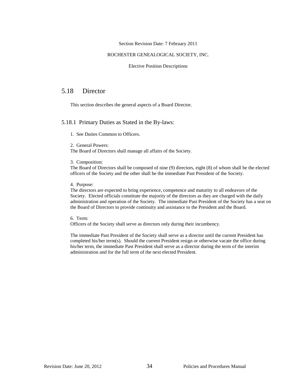Section Revision Date: 7 February 2011

#### ROCHESTER GENEALOGICAL SOCIETY, INC.

#### Elective Position Descriptions

# 5.18 Director

This section describes the general aspects of a Board Director.

#### 5.18.1 Primary Duties as Stated in the By-laws:

1. See Duties Common to Officers.

2. General Powers:

The Board of Directors shall manage all affairs of the Society.

#### 3. Composition:

The Board of Directors shall be composed of nine (9) directors, eight (8) of whom shall be the elected officers of the Society and the other shall be the immediate Past President of the Society.

4. Purpose:

The directors are expected to bring experience, competence and maturity to all endeavors of the Society. Elected officials constitute the majority of the directors as they are charged with the daily administration and operation of the Society. The immediate Past President of the Society has a seat on the Board of Directors to provide continuity and assistance to the President and the Board.

6. Term:

Officers of the Society shall serve as directors only during their incumbency.

The immediate Past President of the Society shall serve as a director until the current President has completed his/her term(s). Should the current President resign or otherwise vacate the office during his/her term, the immediate Past President shall serve as a director during the term of the interim administration and for the full term of the next elected President.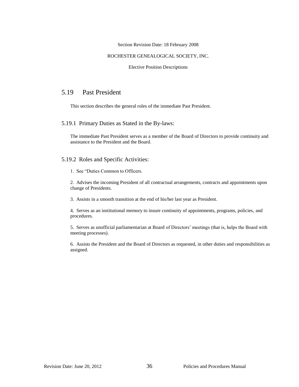Section Revision Date: 18 February 2008

### ROCHESTER GENEALOGICAL SOCIETY, INC.

Elective Position Descriptions

# 5.19 Past President

This section describes the general roles of the immediate Past President.

## 5.19.1 Primary Duties as Stated in the By-laws:

The immediate Past President serves as a member of the Board of Directors to provide continuity and assistance to the President and the Board.

## 5.19.2 Roles and Specific Activities:

1. See "Duties Common to Officers.

2. Advises the incoming President of all contractual arrangements, contracts and appointments upon change of Presidents.

3. Assists in a smooth transition at the end of his/her last year as President.

4. Serves as an institutional memory to insure continuity of appointments, programs, policies, and procedures.

5. Serves as unofficial parliamentarian at Board of Directors' meetings (that is, helps the Board with meeting processes).

6. Assists the President and the Board of Directors as requested, in other duties and responsibilities as assigned.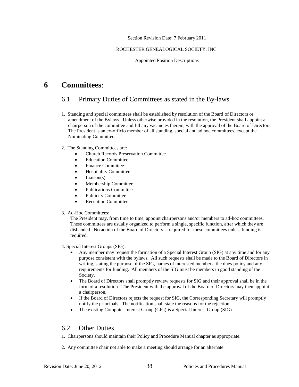#### Section Revision Date: 7 February 2011

#### ROCHESTER GENEALOGICAL SOCIETY, INC.

#### Appointed Position Descriptions

# **6 Committees**:

# 6.1 Primary Duties of Committees as stated in the By-laws

- 1. Standing and special committees shall be established by resolution of the Board of Directors or amendment of the Bylaws. Unless otherwise provided in the resolution, the President shall appoint a chairperson of the committee and fill any vacancies therein, with the approval of the Board of Directors. The President is an ex-officio member of all standing, special and ad hoc committees, except the Nominating Committee.
- 2. The Standing Committees are:
	- Church Records Preservation Committee
	- Education Committee
	- Finance Committee
	- Hospitality Committee
	- Liaison(s)
	- Membership Committee
	- Publications Committee
	- Publicity Committee
	- Reception Committee
- 3. Ad-Hoc Committees:

The President may, from time to time, appoint chairpersons and/or members to ad-hoc committees. These committees are usually organized to perform a single, specific function, after which they are disbanded. No action of the Board of Directors is required for these committees unless funding is required.

- 4. Special Interest Groups (SIG):
	- Any member may request the formation of a Special Interest Group (SIG) at any time and for any purpose consistent with the bylaws. All such requests shall be made to the Board of Directors in writing, stating the purpose of the SIG, names of interested members, the dues policy and any requirements for funding. All members of the SIG must be members in good standing of the Society.
	- The Board of Directors shall promptly review requests for SIG and their approval shall be in the form of a resolution. The President with the approval of the Board of Directors may then appoint a chairperson.
	- If the Board of Directors rejects the request for SIG, the Corresponding Secretary will promptly notify the principals. The notification shall state the reasons for the rejection.
	- The existing Computer Interest Group (CIG) is a Special Interest Group (SIG).

# 6.2 Other Duties

1. Chairpersons should maintain their Policy and Procedure Manual chapter as appropriate.

2. Any committee chair not able to make a meeting should arrange for an alternate.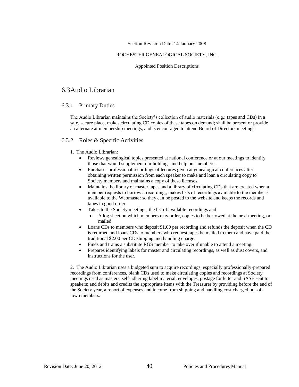Section Revision Date: 14 January 2008

#### ROCHESTER GENEALOGICAL SOCIETY, INC.

#### Appointed Position Descriptions

# 6.3Audio Librarian

## 6.3.1 Primary Duties

The Audio Librarian maintains the Society's collection of audio materials (e.g.: tapes and CDs) in a safe, secure place, makes circulating CD copies of these tapes on demand; shall be present or provide an alternate at membership meetings, and is encouraged to attend Board of Directors meetings.

## 6.3.2 Roles & Specific Activities

- 1. The Audio Librarian:
	- Reviews genealogical topics presented at national conference or at our meetings to identify those that would supplement our holdings and help our members.
	- Purchases professional recordings of lectures given at genealogical conferences after obtaining written permission from each speaker to make and loan a circulating copy to Society members and maintains a copy of these licenses.
	- Maintains the library of master tapes and a library of circulating CDs that are created when a member requests to borrow a recording,, makes lists of recordings available to the member's available to the Webmaster so they can be posted to the website and keeps the records and tapes in good order.
	- Takes to the Society meetings, the list of available recordings and
		- A log sheet on which members may order, copies to be borrowed at the next meeting, or mailed.
	- Loans CDs to members who deposit \$1.00 per recording and refunds the deposit when the CD is returned and loans CDs to members who request tapes be mailed to them and have paid the traditional \$2.00 per CD shipping and handling charge.
	- Finds and trains a substitute RGS member to take over if unable to attend a meeting.
	- Prepares identifying labels for master and circulating recordings, as well as dust covers, and instructions for the user.

2. The Audio Librarian uses a budgeted sum to acquire recordings, especially professionally-prepared recordings from conferences, blank CDs used to make circulating copies and recordings at Society meetings used as masters, self-adhering label material, envelopes, postage for letter and SASE sent to speakers; and debits and credits the appropriate items with the Treasurer by providing before the end of the Society year, a report of expenses and income from shipping and handling cost charged out-oftown members.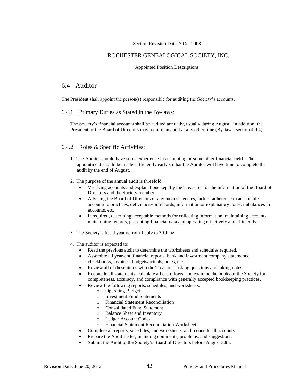### Section Revision Date: 7 Oct 2008

## ROCHESTER GENEALOGICAL SOCIETY, INC.

## Appointed Position Descriptions

# 6.4 Auditor

The President shall appoint the person(s) responsible for auditing the Society's accounts.

## 6.4.1 Primary Duties as Stated in the By-laws:

The Society's financial accounts shall be audited annually, usually during August. In addition, the President or the Board of Directors may require an audit at any other time (By-laws, section 4.9.4).

## 6.4.2 Roles & Specific Activities:

- 1. The Auditor should have some experience in accounting or some other financial field. The appointment should be made sufficiently early so that the Auditor will have time to complete the audit by the end of August.
- 2. The purpose of the annual audit is threefold:
	- Verifying accounts and explanations kept by the Treasurer for the information of the Board of Directors and the Society members.
	- Advising the Board of Directors of any inconsistencies, lack of adherence to acceptable accounting practices, deficiencies in records, information or explanatory notes, imbalances in accounts, etc.
	- If required, describing acceptable methods for collecting information, maintaining accounts, maintaining records, presenting financial data and operating effectively and efficiently.
- 3. The Society's fiscal year is from 1 July to 30 June.
- 4. The auditor is expected to:
	- Read the previous audit to determine the worksheets and schedules required.
	- Assemble all year-end financial reports, bank and investment company statements, checkbooks, invoices, budgets/actuals, notes, etc.
	- Review all of these items with the Treasurer, asking questions and taking notes.
	- Reconcile all statements, calculate all cash flows, and examine the books of the Society for completeness, accuracy, and compliance with generally accepted bookkeeping practices.
	- Review the following reports, schedules, and worksheets:
		- o Operating Budget
		- o Investment Fund Statements
		- o Financial Statement Reconciliation
		- o Consolidated Fund Statement
		- o Balance Sheet and Inventory
		- o Ledger Account Codes
		- o Financial Statement Reconciliation Worksheet
	- Complete all reports, schedules, and worksheets, and reconcile all accounts.
	- Prepare the Audit Letter, including comments, problems, and suggestions.
	- Submit the Audit to the Society's Board of Directors before August 30th.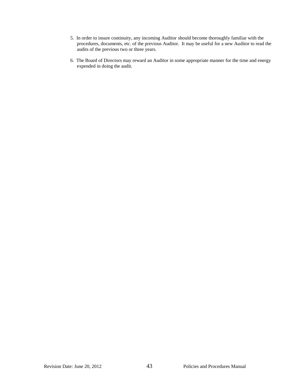- 5. In order to insure continuity, any incoming Auditor should become thoroughly familiar with the procedures, documents, etc. of the previous Auditor. It may be useful for a new Auditor to read the audits of the previous two or three years.
- 6. The Board of Directors may reward an Auditor in some appropriate manner for the time and energy expended in doing the audit.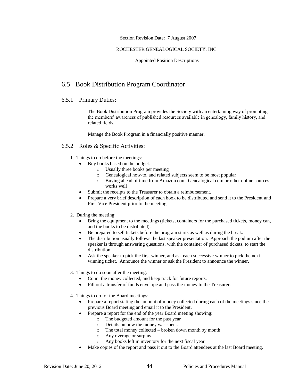#### Section Revision Date: 7 August 2007

### ROCHESTER GENEALOGICAL SOCIETY, INC.

#### Appointed Position Descriptions

# 6.5 Book Distribution Program Coordinator

## 6.5.1 Primary Duties:

The Book Distribution Program provides the Society with an entertaining way of promoting the members' awareness of published resources available in genealogy, family history, and related fields.

Manage the Book Program in a financially positive manner.

## 6.5.2 Roles & Specific Activities:

- 1. Things to do before the meetings:
	- Buy books based on the budget.
		- o Usually three books per meeting
		- o Genealogical how-to, and related subjects seem to be most popular
		- o Buying ahead of time from Amazon.com, Genealogical.com or other online sources works well
		- Submit the receipts to the Treasurer to obtain a reimbursement.
	- Prepare a very brief description of each book to be distributed and send it to the President and First Vice President prior to the meeting.

## 2. During the meeting:

- Bring the equipment to the meetings (tickets, containers for the purchased tickets, money can, and the books to be distributed).
- Be prepared to sell tickets before the program starts as well as during the break.
- The distribution usually follows the last speaker presentation. Approach the podium after the speaker is through answering questions, with the container of purchased tickets, to start the distribution.
- Ask the speaker to pick the first winner, and ask each successive winner to pick the next winning ticket. Announce the winner or ask the President to announce the winner.
- 3. Things to do soon after the meeting:
	- Count the money collected, and keep track for future reports.
	- Fill out a transfer of funds envelope and pass the money to the Treasurer.
- 4. Things to do for the Board meetings:
	- Prepare a report stating the amount of money collected during each of the meetings since the previous Board meeting and email it to the President.
		- Prepare a report for the end of the year Board meeting showing:
			- o The budgeted amount for the past year
			- o Details on how the money was spent.
			- o The total money collected broken down month by month
			- o Any overage or surplus
			- o Any books left in inventory for the next fiscal year
	- Make copies of the report and pass it out to the Board attendees at the last Board meeting.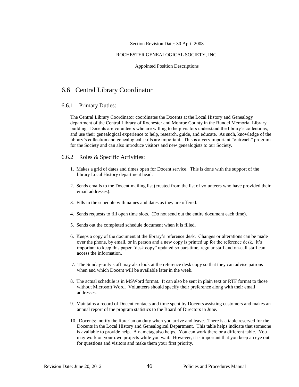#### Section Revision Date: 30 April 2008

#### ROCHESTER GENEALOGICAL SOCIETY, INC.

#### Appointed Position Descriptions

## 6.6 Central Library Coordinator

#### 6.6.1 Primary Duties:

The Central Library Coordinator coordinates the Docents at the Local History and Genealogy department of the Central Library of Rochester and Monroe County in the Rundel Memorial Library building. Docents are volunteers who are willing to help visitors understand the library's collections, and use their genealogical experience to help, research, guide, and educate. As such, knowledge of the library's collection and genealogical skills are important. This is a very important "outreach" program for the Society and can also introduce visitors and new genealogists to our Society.

#### 6.6.2 Roles & Specific Activities:

- 1. Makes a grid of dates and times open for Docent service. This is done with the support of the library Local History department head.
- 2. Sends emails to the Docent mailing list (created from the list of volunteers who have provided their email addresses).
- 3. Fills in the schedule with names and dates as they are offered.
- 4. Sends requests to fill open time slots. (Do not send out the entire document each time).
- 5. Sends out the completed schedule document when it is filled.
- 6. Keeps a copy of the document at the library's reference desk. Changes or alterations can be made over the phone, by email, or in person and a new copy is printed up for the reference desk. It's important to keep this paper "desk copy" updated so part-time, regular staff and on-call staff can access the information.
- 7. The Sunday-only staff may also look at the reference desk copy so that they can advise patrons when and which Docent will be available later in the week.
- 8. The actual schedule is in MSWord format. It can also be sent in plain text or RTF format to those without Microsoft Word. Volunteers should specify their preference along with their email addresses.
- 9. Maintains a record of Docent contacts and time spent by Docents assisting customers and makes an annual report of the program statistics to the Board of Directors in June.
- 10. Docents: notify the librarian on duty when you arrive and leave. There is a table reserved for the Docents in the Local History and Genealogical Department. This table helps indicate that someone is available to provide help. A nametag also helps. You can work there or a different table. You may work on your own projects while you wait. However, it is important that you keep an eye out for questions and visitors and make them your first priority.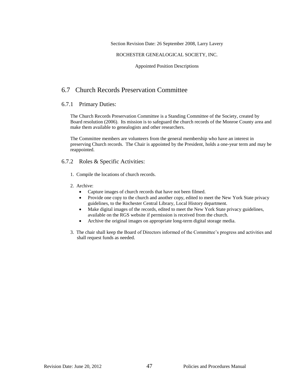Section Revision Date: 26 September 2008, Larry Lavery

#### ROCHESTER GENEALOGICAL SOCIETY, INC.

Appointed Position Descriptions

# 6.7 Church Records Preservation Committee

## 6.7.1 Primary Duties:

The Church Records Preservation Committee is a Standing Committee of the Society, created by Board resolution (2006). Its mission is to safeguard the church records of the Monroe County area and make them available to genealogists and other researchers.

The Committee members are volunteers from the general membership who have an interest in preserving Church records. The Chair is appointed by the President, holds a one-year term and may be reappointed.

6.7.2 Roles & Specific Activities:

- 1. Compile the locations of church records.
- 2. Archive:
	- Capture images of church records that have not been filmed.
	- Provide one copy to the church and another copy, edited to meet the New York State privacy guidelines, to the Rochester Central Library, Local History department.
	- Make digital images of the records, edited to meet the New York State privacy guidelines, available on the RGS website if permission is received from the church.
	- Archive the original images on appropriate long-term digital storage media.
- 3. The chair shall keep the Board of Directors informed of the Committee's progress and activities and shall request funds as needed.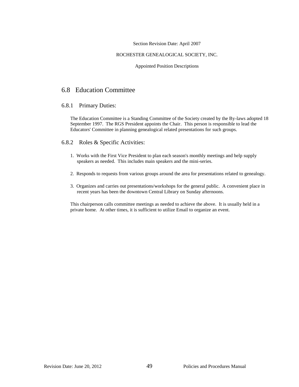#### Section Revision Date: April 2007

#### ROCHESTER GENEALOGICAL SOCIETY, INC.

#### Appointed Position Descriptions

## 6.8 Education Committee

## 6.8.1 Primary Duties:

The Education Committee is a Standing Committee of the Society created by the By-laws adopted 18 September 1997. The RGS President appoints the Chair. This person is responsible to lead the Educators' Committee in planning genealogical related presentations for such groups.

## 6.8.2 Roles & Specific Activities:

- 1. Works with the First Vice President to plan each season's monthly meetings and help supply speakers as needed. This includes main speakers and the mini-series.
- 2. Responds to requests from various groups around the area for presentations related to genealogy.
- 3. Organizes and carries out presentations/workshops for the general public. A convenient place in recent years has been the downtown Central Library on Sunday afternoons.

This chairperson calls committee meetings as needed to achieve the above. It is usually held in a private home. At other times, it is sufficient to utilize Email to organize an event.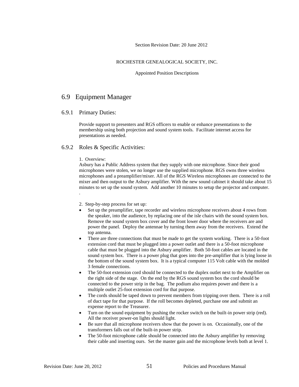Section Revision Date: 20 June 2012

#### ROCHESTER GENEALOGICAL SOCIETY, INC.

#### Appointed Position Descriptions

## 6.9 Equipment Manager

### 6.9.1 Primary Duties:

Provide support to presenters and RGS officers to enable or enhance presentations to the membership using both projection and sound system tools. Facilitate internet access for presentations as needed.

#### 6.9.2 Roles & Specific Activities:

1. Overview:

.

Asbury has a Public Address system that they supply with one microphone. Since their good microphones were stolen, we no longer use the supplied microphone. RGS owns three wireless microphones and a preamplifier/mixer. All of the RGS Wireless microphones are connected to the mixer and then output to the Asbury amplifier. With the new sound cabinet it should take about 15 minutes to set up the sound system. Add another 10 minutes to setup the projector and computer.

- 2. Step-by-step process for set up:
- Set up the preamplifier, tape recorder and wireless microphone receivers about 4 rows from the speaker, into the audience, by replacing one of the isle chairs with the sound system box. Remove the sound system box cover and the front lower door where the receivers are and power the panel. Deploy the antennae by turning them away from the receivers. Extend the top antenna.
- There are three connections that must be made to get the system working. There is a 50-foot extension cord that must be plugged into a power outlet and there is a 50-foot microphone cable that must be plugged into the Asbury amplifier. Both 50-foot cables are located in the sound system box. There is a power plug that goes into the pre-amplifier that is lying loose in the bottom of the sound system box. It is a typical computer 115 Volt cable with the molded 3 female connections.
- The 50-foot extension cord should be connected to the duplex outlet next to the Amplifier on the right side of the stage. On the end by the RGS sound system box the cord should be connected to the power strip in the bag. The podium also requires power and there is a multiple outlet 25-foot extension cord for that purpose.
- The cords should be taped down to prevent members from tripping over them. There is a roll of duct tape for that purpose. If the roll becomes depleted, purchase one and submit an expense report to the Treasurer.
- Turn on the sound equipment by pushing the rocker switch on the built-in power strip (red). All the receiver power-on lights should light.
- Be sure that all microphone receivers show that the power is on. Occasionally, one of the transformers falls out of the built-in power strip.
- The 50-foot microphone cable should be connected into the Asbury amplifier by removing their cable and inserting ours. Set the master gain and the microphone levels both at level 1.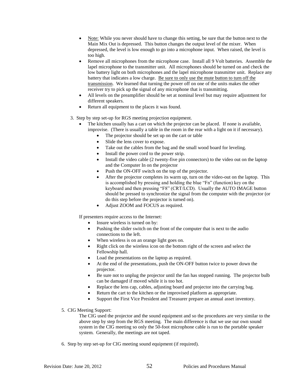- Note: While you never should have to change this setting, be sure that the button next to the Main Mix Out is depressed. This button changes the output level of the mixer. When depressed, the level is low enough to go into a microphone input. When raised, the level is too high.
- Remove all microphones from the microphone case. Install all 9 Volt batteries. Assemble the lapel microphone to the transmitter unit. All microphones should be turned on and check the low battery light on both microphones and the lapel microphone transmitter unit. Replace any battery that indicates a low charge. Be sure to only use the mute button to turn off the transmission. We learned that turning the power off on one of the units makes the other receiver try to pick up the signal of any microphone that is transmitting.
- All levels on the preamplifier should be set at nominal level but may require adjustment for different speakers.
- Return all equipment to the places it was found.
- 3. Step by step set-up for RGS meeting projection equipment.
	- The kitchen usually has a cart on which the projector can be placed. If none is available, improvise. (There is usually a table in the room in the rear with a light on it if necessary).
		- The projector should be set up on the cart or table
		- Slide the lens cover to expose.
		- Take out the cables from the bag and the small wood board for leveling.
		- Install the power cord to the power strip.
		- Install the video cable (2 twenty-five pin connectors) to the video out on the laptop and the Computer In on the projector
		- Push the ON-OFF switch on the top of the projector.
		- After the projector completes its warm up, turn on the video-out on the laptop. This is accomplished by pressing and holding the blue "Fn" (function) key on the keyboard and then pressing "F8" (CRT/LCD). Usually the AUTO IMAGE button should be pressed to synchronize the signal from the computer with the projector (or do this step before the projector is turned on).
		- Adjust ZOOM and FOCUS as required.

If presenters require access to the Internet:

- Insure wireless is turned on by:
- Pushing the slider switch on the front of the computer that is next to the audio connections to the left.
- When wireless is on an orange light goes on.
- Right click on the wireless icon on the bottom right of the screen and select the Fellowship hall.
- Load the presentations on the laptop as required.
- At the end of the presentations, push the ON-OFF button twice to power down the projector.
- Be sure not to unplug the projector until the fan has stopped running. The projector bulb can be damaged if moved while it is too hot.
- Replace the lens cap, cables, adjusting board and projector into the carrying bag.
- Return the cart to the kitchen or the improvised platform as appropriate.
- Support the First Vice President and Treasurer prepare an annual asset inventory.
- 5. CIG Meeting Support:

The CIG used the projector and the sound equipment and so the procedures are very similar to the above step by step from the RGS meeting. The main difference is that we use our own sound system in the CIG meeting so only the 50-foot microphone cable is run to the portable speaker system. Generally, the meetings are not taped.

6. Step by step set-up for CIG meeting sound equipment (if required).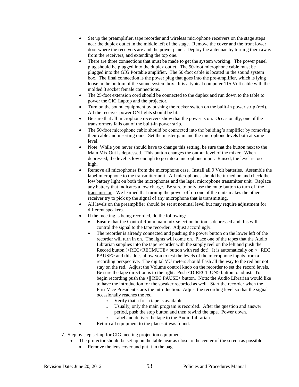- Set up the preamplifier, tape recorder and wireless microphone receivers on the stage steps near the duplex outlet in the middle left of the stage. Remove the cover and the front lower door where the receivers are and the power panel. Deploy the antennae by turning them away from the receivers, and extending the top one.
- There are three connections that must be made to get the system working. The power panel plug should be plugged into the duplex outlet. The 50-foot microphone cable must be plugged into the GIG Portable amplifier. The 50-foot cable is located in the sound system box. The final connection is the power plug that goes into the pre-amplifier, which is lying loose in the bottom of the sound system box. It is a typical computer 115 Volt cable with the molded 3 socket female connections.
- The 25-foot extension cord should be connected to the duplex and run down to the table to power the CIG Laptop and the projector.
- Turn on the sound equipment by pushing the rocker switch on the built-in power strip (red). All the receiver power ON lights should be lit.
- Be sure that all microphone receivers show that the power is on. Occasionally, one of the transformers falls out of the built-in power strip.
- The 50-foot microphone cable should be connected into the building's amplifier by removing their cable and inserting ours. Set the master gain and the microphone levels both at same level.
- Note: While you never should have to change this setting, be sure that the button next to the Main Mix Out is depressed. This button changes the output level of the mixer. When depressed, the level is low enough to go into a microphone input. Raised, the level is too high.
- Remove all microphones from the microphone case. Install all 9 Volt batteries. Assemble the lapel microphone to the transmitter unit. All microphones should be turned on and check the low battery light on both the microphones and the lapel microphone transmitter unit. Replace any battery that indicates a low charge. Be sure to only use the mute button to turn off the transmission. We learned that turning the power off on one of the units makes the other receiver try to pick up the signal of any microphone that is transmitting.
- All levels on the preamplifier should be set at nominal level but may require adjustment for different speakers.
- If the meeting is being recorded, do the following:
	- Ensure that the Control Room main mix selection button is depressed and this will control the signal to the tape recorder. Adjust accordingly.
	- The recorder is already connected and pushing the power button on the lower left of the recorder will turn in on. The lights will come on. Place one of the tapes that the Audio Librarian supplies into the tape recorder with the supply reel on the left and push the Record button  $\langle$  REC>RECMUTE> button with red dot). It is automatically on  $\langle$ || REC PAUSE> and this does allow you to test the levels of the microphone inputs from a recording perspective. The digital VU meters should flash all the way to the red but not stay on the red. Adjust the Volume control knob on the recorder to set the record levels. Be sure the tape direction is to the right. Push <DIRECTION> button to adjust. To begin recording push the  $\leq$ || REC PAUSE> button. Note: the Audio Librarian would like to have the introduction for the speaker recorded as well. Start the recorder when the First Vice President starts the introduction. Adjust the recording level so that the signal occasionally reaches the red.
		- o Verify that a fresh tape is available.
		- o Usually, only the main program is recorded. After the question and answer period, push the stop button and then rewind the tape. Power down.
		- o Label and deliver the tape to the Audio Librarian.
- Return all equipment to the places it was found.
- 7. Step by step set-up for CIG meeting projection equipment.
	- The projector should be set up on the table near as close to the center of the screen as possible
		- Remove the lens cover and put it in the bag.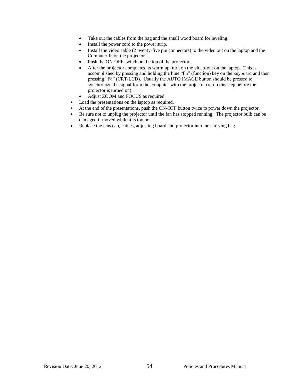- Take out the cables from the bag and the small wood board for leveling.
- Install the power cord to the power strip.
- Install the video cable (2 twenty-five pin connectors) to the video out on the laptop and the Computer In on the projector
- Push the ON-OFF switch on the top of the projector.
- After the projector completes its warm up, turn on the video-out on the laptop. This is accomplished by pressing and holding the blue "Fn" (function) key on the keyboard and then pressing "F8" (CRT/LCD). Usually the AUTO IMAGE button should be pressed to synchronize the signal form the computer with the projector (or do this step before the projector is turned on).
- Adjust ZOOM and FOCUS as required.
- Load the presentations on the laptop as required.
- At the end of the presentations, push the ON-OFF button twice to power down the projector.
- Be sure not to unplug the projector until the fan has stopped running. The projector bulb can be damaged if moved while it is too hot.
- Replace the lens cap, cables, adjusting board and projector into the carrying bag.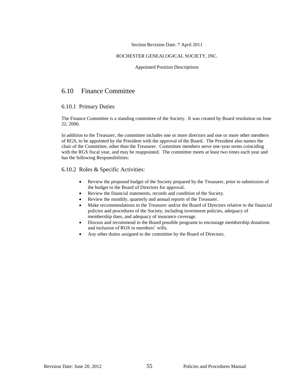### Section Revision Date: 7 April 2011

### ROCHESTER GENEALOGICAL SOCIETY, INC.

#### Appointed Position Descriptions

# 6.10 Finance Committee

## 6.10.1 Primary Duties

The Finance Committee is a standing committee of the Society. It was created by Board resolution on June 22, 2006.

In addition to the Treasurer, the committee includes one or more directors and one or more other members of RGS, to be appointed by the President with the approval of the Board. The President also names the chair of the Committee, other than the Treasurer. Committee members serve one-year terms coinciding with the RGS fiscal year, and may be reappointed. The committee meets at least two times each year and has the following Responsibilities:

## 6.10.2 Roles & Specific Activities:

- Review the proposed budget of the Society prepared by the Treasurer, prior to submission of the budget to the Board of Directors for approval.
- Review the financial statements, records and condition of the Society.
- Review the monthly, quarterly and annual reports of the Treasurer.
- Make recommendations to the Treasurer and/or the Board of Directors relative to the financial policies and procedures of the Society, including investment policies, adequacy of membership dues, and adequacy of insurance coverage.
- Discuss and recommend to the Board possible programs to encourage membership donations and inclusion of RGS in members' wills.
- Any other duties assigned to the committee by the Board of Directors.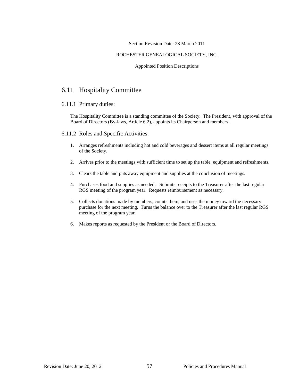### Section Revision Date: 28 March 2011

#### ROCHESTER GENEALOGICAL SOCIETY, INC.

#### Appointed Position Descriptions

# 6.11 Hospitality Committee

## 6.11.1 Primary duties:

The Hospitality Committee is a standing committee of the Society. The President, with approval of the Board of Directors (By-laws, Article 6.2), appoints its Chairperson and members.

#### 6.11.2 Roles and Specific Activities:

- 1. Arranges refreshments including hot and cold beverages and dessert items at all regular meetings of the Society.
- 2. Arrives prior to the meetings with sufficient time to set up the table, equipment and refreshments.
- 3. Clears the table and puts away equipment and supplies at the conclusion of meetings.
- 4. Purchases food and supplies as needed. Submits receipts to the Treasurer after the last regular RGS meeting of the program year. Requests reimbursement as necessary.
- 5. Collects donations made by members, counts them, and uses the money toward the necessary purchase for the next meeting. Turns the balance over to the Treasurer after the last regular RGS meeting of the program year.
- 6. Makes reports as requested by the President or the Board of Directors.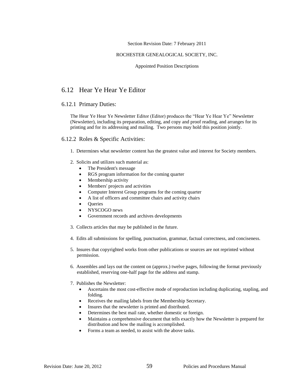#### Section Revision Date: 7 February 2011

#### ROCHESTER GENEALOGICAL SOCIETY, INC.

#### Appointed Position Descriptions

# 6.12 Hear Ye Hear Ye Editor

## 6.12.1 Primary Duties:

The Hear Ye Hear Ye Newsletter Editor (Editor) produces the "Hear Ye Hear Ye" Newsletter (Newsletter), including its preparation, editing, and copy and proof reading, and arranges for its printing and for its addressing and mailing. Two persons may hold this position jointly.

#### 6.12.2 Roles & Specific Activities:

- 1. Determines what newsletter content has the greatest value and interest for Society members.
- 2. Solicits and utilizes such material as:
	- The President's message
	- RGS program information for the coming quarter
	- Membership activity
	- Members' projects and activities
	- Computer Interest Group programs for the coming quarter
	- A list of officers and committee chairs and activity chairs
	- **Oueries**
	- NYSCOGO news
	- Government records and archives developments
- 3. Collects articles that may be published in the future.
- 4. Edits all submissions for spelling, punctuation, grammar, factual correctness, and conciseness.
- 5. Insures that copyrighted works from other publications or sources are not reprinted without permission.
- 6. Assembles and lays out the content on (approx.) twelve pages, following the format previously established, reserving one-half page for the address and stamp.
- 7. Publishes the Newsletter:
	- Ascertains the most cost-effective mode of reproduction including duplicating, stapling, and folding.
	- Receives the mailing labels from the Membership Secretary.
	- Insures that the newsletter is printed and distributed.
	- Determines the best mail rate, whether domestic or foreign.
	- Maintains a comprehensive document that tells exactly how the Newsletter is prepared for distribution and how the mailing is accomplished.
	- Forms a team as needed, to assist with the above tasks.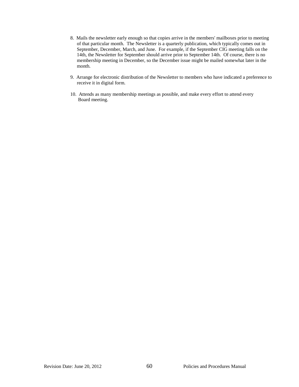- 8. Mails the newsletter early enough so that copies arrive in the members' mailboxes prior to meeting of that particular month. The Newsletter is a quarterly publication, which typically comes out in September, December, March, and June. For example, if the September CIG meeting falls on the 14th, the Newsletter for September should arrive prior to September 14th. Of course, there is no membership meeting in December, so the December issue might be mailed somewhat later in the month.
- 9. Arrange for electronic distribution of the Newsletter to members who have indicated a preference to receive it in digital form.
- 10. Attends as many membership meetings as possible, and make every effort to attend every Board meeting.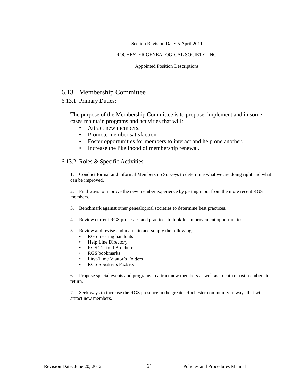Section Revision Date: 5 April 2011

### ROCHESTER GENEALOGICAL SOCIETY, INC.

Appointed Position Descriptions

# 6.13 Membership Committee

6.13.1 Primary Duties:

The purpose of the Membership Committee is to propose, implement and in some cases maintain programs and activities that will:

- Attract new members.
- Promote member satisfaction.
- Foster opportunities for members to interact and help one another.
- Increase the likelihood of membership renewal.

6.13.2 Roles & Specific Activities

1. Conduct formal and informal Membership Surveys to determine what we are doing right and what can be improved.

2. Find ways to improve the new member experience by getting input from the more recent RGS members.

- 3. Benchmark against other genealogical societies to determine best practices.
- 4. Review current RGS processes and practices to look for improvement opportunities.
- 5. Review and revise and maintain and supply the following:
	- RGS meeting handouts
	- Help Line Directory
	- RGS Tri-fold Brochure
	- RGS bookmarks
	- First-Time Visitor's Folders
	- RGS Speaker's Packets

6. Propose special events and programs to attract new members as well as to entice past members to return.

7. Seek ways to increase the RGS presence in the greater Rochester community in ways that will attract new members.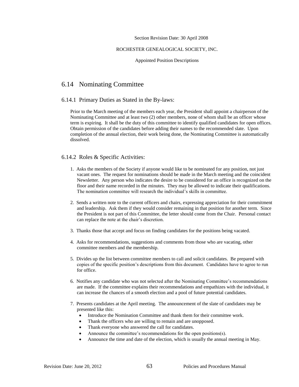Section Revision Date: 30 April 2008

#### ROCHESTER GENEALOGICAL SOCIETY, INC.

Appointed Position Descriptions

## 6.14 Nominating Committee

## 6.14.1 Primary Duties as Stated in the By-laws:

Prior to the March meeting of the members each year, the President shall appoint a chairperson of the Nominating Committee and at least two (2) other members, none of whom shall be an officer whose term is expiring. It shall be the duty of this committee to identify qualified candidates for open offices. Obtain permission of the candidates before adding their names to the recommended slate. Upon completion of the annual election, their work being done, the Nominating Committee is automatically dissolved.

#### 6.14.2 Roles & Specific Activities:

- 1. Asks the members of the Society if anyone would like to be nominated for any position, not just vacant ones. The request for nominations should be made in the March meeting and the coincident Newsletter. Any person who indicates the desire to be considered for an office is recognized on the floor and their name recorded in the minutes. They may be allowed to indicate their qualifications. The nomination committee will research the individual's skills in committee.
- 2. Sends a written note to the current officers and chairs, expressing appreciation for their commitment and leadership. Ask them if they would consider remaining in that position for another term. Since the President is not part of this Committee, the letter should come from the Chair. Personal contact can replace the note at the chair's discretion.
- 3. Thanks those that accept and focus on finding candidates for the positions being vacated.
- 4. Asks for recommendations, suggestions and comments from those who are vacating, other committee members and the membership.
- 5. Divides up the list between committee members to call and solicit candidates. Be prepared with copies of the specific position's descriptions from this document. Candidates have to agree to run for office.
- 6. Notifies any candidate who was not selected after the Nominating Committee's recommendations are made. If the committee explains their recommendations and empathizes with the individual, it can increase the chances of a smooth election and a pool of future potential candidates.
- 7. Presents candidates at the April meeting. The announcement of the slate of candidates may be presented like this:
	- Introduce the Nomination Committee and thank them for their committee work.
	- Thank the officers who are willing to remain and are unopposed.
	- Thank everyone who answered the call for candidates.
	- Announce the committee's recommendations for the open positions(s).
	- Announce the time and date of the election, which is usually the annual meeting in May.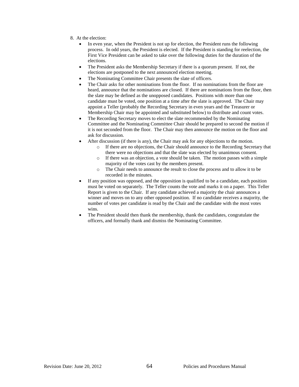- 8. At the election:
	- In even year, when the President is not up for election, the President runs the following process. In odd years, the President is elected. If the President is standing for reelection, the First Vice President can be asked to take over the following duties for the duration of the elections.
	- The President asks the Membership Secretary if there is a quorum present. If not, the elections are postponed to the next announced election meeting.
	- The Nominating Committee Chair presents the slate of officers.
	- The Chair asks for other nominations from the floor. If no nominations from the floor are heard, announce that the nominations are closed. If there are nominations from the floor, then the slate may be defined as the unopposed candidates. Positions with more than one candidate must be voted, one position at a time after the slate is approved. The Chair may appoint a Teller (probably the Recording Secretary in even years and the Treasurer or Membership Chair may be appointed and substituted below) to distribute and count votes.
	- The Recording Secretary moves to elect the slate recommended by the Nominating Committee and the Nominating Committee Chair should be prepared to second the motion if it is not seconded from the floor. The Chair may then announce the motion on the floor and ask for discussion.
	- After discussion (if there is any), the Chair may ask for any objections to the motion.
		- If there are no objections, the Chair should announce to the Recording Secretary that there were no objections and that the slate was elected by unanimous consent.
		- $\circ$  If there was an objection, a vote should be taken. The motion passes with a simple majority of the votes cast by the members present.
		- o The Chair needs to announce the result to close the process and to allow it to be recorded in the minutes.
	- If any position was opposed, and the opposition is qualified to be a candidate, each position must be voted on separately. The Teller counts the vote and marks it on a paper. This Teller Report is given to the Chair. If any candidate achieved a majority the chair announces a winner and moves on to any other opposed position. If no candidate receives a majority, the number of votes per candidate is read by the Chair and the candidate with the most votes wins.
	- The President should then thank the membership, thank the candidates, congratulate the officers, and formally thank and dismiss the Nominating Committee.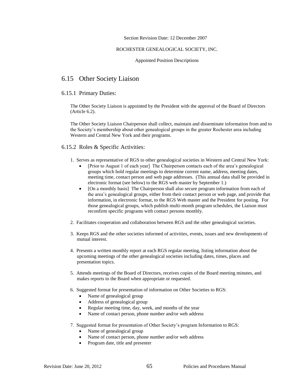#### Section Revision Date: 12 December 2007

#### ROCHESTER GENEALOGICAL SOCIETY, INC.

#### Appointed Position Descriptions

## 6.15 Other Society Liaison

### 6.15.1 Primary Duties:

The Other Society Liaison is appointed by the President with the approval of the Board of Directors (Article 6.2).

The Other Society Liaison Chairperson shall collect, maintain and disseminate information from and to the Society's membership about other genealogical groups in the greater Rochester area including Western and Central New York and their programs.

#### 6.15.2 Roles & Specific Activities:

- 1. Serves as representative of RGS to other genealogical societies in Western and Central New York:
	- [Prior to August 1 of each year] The Chairperson contacts each of the area's genealogical groups which hold regular meetings to determine current name, address, meeting dates, meeting time, contact person and web page addresses. (This annual data shall be provided in electronic format (see below) to the RGS web master by September 1.)
	- [On a monthly basis] The Chairperson shall also secure program information from each of the area's genealogical groups, either from their contact person or web page, and provide that information, in electronic format, to the RGS Web master and the President for posting. For those genealogical groups, which publish multi-month program schedules, the Liaison must reconfirm specific programs with contact persons monthly.
- 2. Facilitates cooperation and collaboration between RGS and the other genealogical societies.
- 3. Keeps RGS and the other societies informed of activities, events, issues and new developments of mutual interest.
- 4. Presents a written monthly report at each RGS regular meeting, listing information about the upcoming meetings of the other genealogical societies including dates, times, places and presentation topics.
- 5. Attends meetings of the Board of Directors, receives copies of the Board meeting minutes, and makes reports to the Board when appropriate or requested.
- 6. Suggested format for presentation of information on Other Societies to RGS:
	- Name of genealogical group
	- Address of genealogical group
	- Regular meeting time, day, week, and months of the year
	- Name of contact person, phone number and/or web address
- 7. Suggested format for presentation of Other Society's program Information to RGS:
	- Name of genealogical group
	- Name of contact person, phone number and/or web address
	- Program date, title and presenter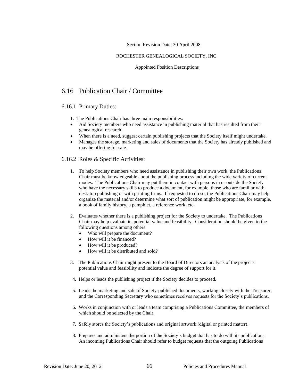#### Section Revision Date: 30 April 2008

### ROCHESTER GENEALOGICAL SOCIETY, INC.

#### Appointed Position Descriptions

# 6.16 Publication Chair / Committee

## 6.16.1 Primary Duties:

- 1. The Publications Chair has three main responsibilities:
- Aid Society members who need assistance in publishing material that has resulted from their genealogical research.
- When there is a need, suggest certain publishing projects that the Society itself might undertake.
- Manages the storage, marketing and sales of documents that the Society has already published and may be offering for sale.

## 6.16.2 Roles & Specific Activities:

- 1. To help Society members who need assistance in publishing their own work, the Publications Chair must be knowledgeable about the publishing process including the wide variety of current modes. The Publications Chair may put them in contact with persons in or outside the Society who have the necessary skills to produce a document, for example, those who are familiar with desk-top publishing or with printing firms. If requested to do so, the Publications Chair may help organize the material and/or determine what sort of publication might be appropriate, for example, a book of family history, a pamphlet, a reference work, etc.
- 2. Evaluates whether there is a publishing project for the Society to undertake. The Publications Chair may help evaluate its potential value and feasibility. Consideration should be given to the following questions among others:
	- Who will prepare the document?
	- How will it be financed?
	- How will it be produced?
	- How will it be distributed and sold?
- 3. The Publications Chair might present to the Board of Directors an analysis of the project's potential value and feasibility and indicate the degree of support for it.
- 4. Helps or leads the publishing project if the Society decides to proceed.
- 5. Leads the marketing and sale of Society-published documents, working closely with the Treasurer, and the Corresponding Secretary who sometimes receives requests for the Society's publications.
- 6. Works in conjunction with or leads a team comprising a Publications Committee, the members of which should be selected by the Chair.
- 7. Safely stores the Society's publications and original artwork (digital or printed matter).
- 8. Prepares and administers the portion of the Society's budget that has to do with its publications. An incoming Publications Chair should refer to budget requests that the outgoing Publications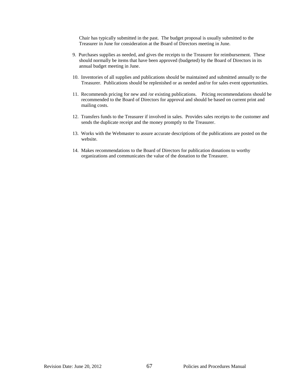Chair has typically submitted in the past. The budget proposal is usually submitted to the Treasurer in June for consideration at the Board of Directors meeting in June.

- 9. Purchases supplies as needed, and gives the receipts to the Treasurer for reimbursement. These should normally be items that have been approved (budgeted) by the Board of Directors in its annual budget meeting in June.
- 10. Inventories of all supplies and publications should be maintained and submitted annually to the Treasurer. Publications should be replenished or as needed and/or for sales event opportunities.
- 11. Recommends pricing for new and /or existing publications. Pricing recommendations should be recommended to the Board of Directors for approval and should be based on current print and mailing costs.
- 12. Transfers funds to the Treasurer if involved in sales. Provides sales receipts to the customer and sends the duplicate receipt and the money promptly to the Treasurer.
- 13. Works with the Webmaster to assure accurate descriptions of the publications are posted on the website.
- 14. Makes recommendations to the Board of Directors for publication donations to worthy organizations and communicates the value of the donation to the Treasurer.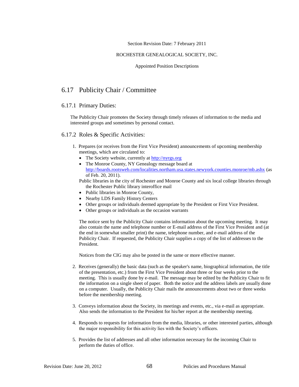Section Revision Date: 7 February 2011

#### ROCHESTER GENEALOGICAL SOCIETY, INC.

#### Appointed Position Descriptions

## 6.17 Publicity Chair / Committee

#### 6.17.1 Primary Duties:

The Publicity Chair promotes the Society through timely releases of information to the media and interested groups and sometimes by personal contact.

## 6.17.2 Roles & Specific Activities:

- 1. Prepares (or receives from the First Vice President) announcements of upcoming membership meetings, which are circulated to:
	- The Society website, currently at [http://nyrgs.org](http://nyrgs.org/)
	- The Monroe County, NY Genealogy message board at <http://boards.rootsweb.com/localities.northam.usa.states.newyork.counties.monroe/mb.ashx> (as of Feb. 20, 2011).

Public libraries in the city of Rochester and Monroe County and six local college libraries through the Rochester Public library interoffice mail

- Public libraries in Monroe County,
- Nearby LDS Family History Centers
- Other groups or individuals deemed appropriate by the President or First Vice President.
- Other groups or individuals as the occasion warrants

The notice sent by the Publicity Chair contains information about the upcoming meeting. It may also contain the name and telephone number or E-mail address of the First Vice President and (at the end in somewhat smaller print) the name, telephone number, and e-mail address of the Publicity Chair. If requested, the Publicity Chair supplies a copy of the list of addresses to the President.

Notices from the CIG may also be posted in the same or more effective manner.

- 2. Receives (generally) the basic data (such as the speaker's name, biographical information, the title of the presentation, etc.) from the First Vice President about three or four weeks prior to the meeting. This is usually done by e-mail. The message may be edited by the Publicity Chair to fit the information on a single sheet of paper. Both the notice and the address labels are usually done on a computer. Usually, the Publicity Chair mails the announcements about two or three weeks before the membership meeting.
- 3. Conveys information about the Society, its meetings and events, etc., via e-mail as appropriate. Also sends the information to the President for his/her report at the membership meeting.
- 4. Responds to requests for information from the media, libraries, or other interested parties, although the major responsibility for this activity lies with the Society's officers.
- 5. Provides the list of addresses and all other information necessary for the incoming Chair to perform the duties of office.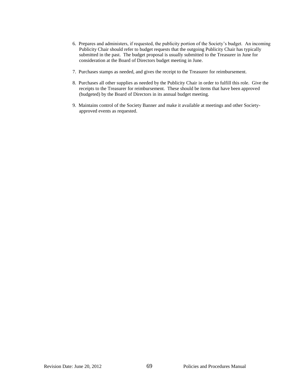- 6. Prepares and administers, if requested, the publicity portion of the Society's budget. An incoming Publicity Chair should refer to budget requests that the outgoing Publicity Chair has typically submitted in the past. The budget proposal is usually submitted to the Treasurer in June for consideration at the Board of Directors budget meeting in June.
- 7. Purchases stamps as needed, and gives the receipt to the Treasurer for reimbursement.
- 8. Purchases all other supplies as needed by the Publicity Chair in order to fulfill this role. Give the receipts to the Treasurer for reimbursement. These should be items that have been approved (budgeted) by the Board of Directors in its annual budget meeting.
- 9. Maintains control of the Society Banner and make it available at meetings and other Societyapproved events as requested.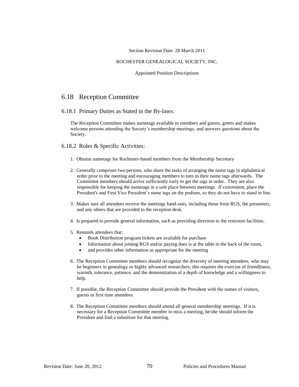Section Revision Date: 28 March 2011

#### ROCHESTER GENEALOGICAL SOCIETY, INC.

Appointed Position Descriptions

# 6.18 Reception Committee

### 6.18.1 Primary Duties as Stated in the By-laws:

The Reception Committee makes nametags available to members and guests, greets and makes welcome persons attending the Society's membership meetings, and answers questions about the Society.

## 6.18.2 Roles & Specific Activities:

- 1. Obtains nametags for Rochester-based members from the Membership Secretary
- 2. Generally comprises two persons, who share the tasks of arranging the name tags in alphabetical order prior to the meeting and encouraging members to turn in their name tags afterwards. The Committee members should arrive sufficiently early to get the tags in order. They are also responsible for keeping the nametags in a safe place between meetings. If convenient, place the President's and First Vice President's name tags on the podium, so they do not have to stand in line.
- 3. Makes sure all attendees receive the meetings hand-outs, including those from RGS, the presenters, and any others that are provided to the reception desk.
- 4. Is prepared to provide general information, such as providing direction to the restroom facilities.
- 5. Reminds attendees that:
	- Book Distribution program tickets are available for purchase
	- Information about joining RGS and/or paying dues is at the table in the back of the room,
	- and provides other information as appropriate for the meeting
- 6. The Reception Committee members should recognize the diversity of meeting attendees, who may be beginners in genealogy or highly advanced researchers; this requires the exercise of friendliness, warmth, tolerance, patience, and the demonstration of a depth of knowledge and a willingness to help.
- 7. If possible, the Reception Committee should provide the President with the names of visitors, guests or first time attendees.
- 8. The Reception Committee members should attend all general membership meetings. If it is necessary for a Reception Committee member to miss a meeting, he/she should inform the President and find a substitute for that meeting.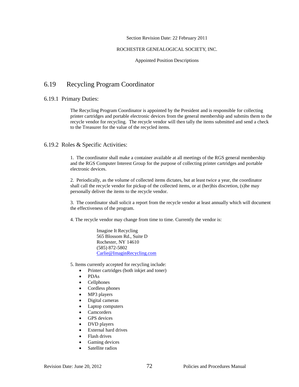#### Section Revision Date: 22 February 2011

#### ROCHESTER GENEALOGICAL SOCIETY, INC.

#### Appointed Position Descriptions

# 6.19 Recycling Program Coordinator

#### 6.19.1 Primary Duties:

The Recycling Program Coordinator is appointed by the President and is responsible for collecting printer cartridges and portable electronic devices from the general membership and submits them to the recycle vendor for recycling. The recycle vendor will then tally the items submitted and send a check to the Treasurer for the value of the recycled items.

## 6.19.2 Roles & Specific Activities:

1. The coordinator shall make a container available at all meetings of the RGS general membership and the RGS Computer Interest Group for the purpose of collecting printer cartridges and portable electronic devices.

2. Periodically, as the volume of collected items dictates, but at least twice a year, the coordinator shall call the recycle vendor for pickup of the collected items, or at (her)his discretion, (s)he may personally deliver the items to the recycle vendor.

3. The coordinator shall solicit a report from the recycle vendor at least annually which will document the effectiveness of the program.

4. The recycle vendor may change from time to time. Currently the vendor is:

Imagine It Recycling 565 Blossom Rd., Suite D Rochester, NY 14610 (585) 872-5802 [Carlie@ImaginRecycling.com](mailto:Carlie@ImaginRecycling.com)

- 5. Items currently accepted for recycling include:
	- Printer cartridges (both inkjet and toner)
	- PDAs
	- Cellphones
	- Cordless phones
	- MP3 players
	- Digital cameras
	- Laptop computers
	- **Camcorders**
	- GPS devices
	- DVD players
	- External hard drives
	- Flash drives
	- Gaming devices
	- Satellite radios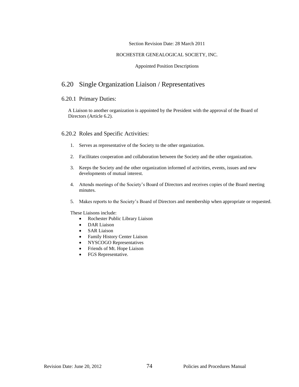## Section Revision Date: 28 March 2011

#### ROCHESTER GENEALOGICAL SOCIETY, INC.

#### Appointed Position Descriptions

# 6.20 Single Organization Liaison / Representatives

### 6.20.1 Primary Duties:

A Liaison to another organization is appointed by the President with the approval of the Board of Directors (Article 6.2).

### 6.20.2 Roles and Specific Activities:

- 1. Serves as representative of the Society to the other organization.
- 2. Facilitates cooperation and collaboration between the Society and the other organization.
- 3. Keeps the Society and the other organization informed of activities, events, issues and new developments of mutual interest.
- 4. Attends meetings of the Society's Board of Directors and receives copies of the Board meeting minutes.
- 5. Makes reports to the Society's Board of Directors and membership when appropriate or requested.

These Liaisons include:

- Rochester Public Library Liaison
- DAR Liaison
- SAR Liaison
- Family History Center Liaison
- NYSCOGO Representatives
- Friends of Mt. Hope Liaison
- FGS Representative.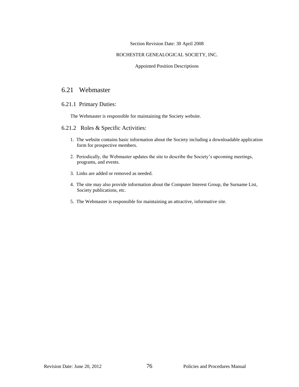#### Section Revision Date: 30 April 2008

### ROCHESTER GENEALOGICAL SOCIETY, INC.

#### Appointed Position Descriptions

# 6.21 Webmaster

## 6.21.1 Primary Duties:

The Webmaster is responsible for maintaining the Society website.

## 6.21.2 Roles & Specific Activities:

- 1. The website contains basic information about the Society including a downloadable application form for prospective members.
- 2. Periodically, the Webmaster updates the site to describe the Society's upcoming meetings, programs, and events.
- 3. Links are added or removed as needed.
- 4. The site may also provide information about the Computer Interest Group, the Surname List, Society publications, etc.
- 5. The Webmaster is responsible for maintaining an attractive, informative site.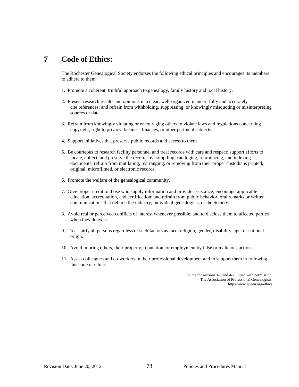# **7 Code of Ethics:**

The Rochester Genealogical Society endorses the following ethical principles and encourages its members to adhere to them.

- 1. Promote a coherent, truthful approach to genealogy, family history and local history.
- 2. Present research results and opinions in a clear, well-organized manner; fully and accurately cite references; and refrain from withholding, suppressing, or knowingly misquoting or misinterpreting sources or data.
- 3. Refrain from knowingly violating or encouraging others to violate laws and regulations concerning copyright, right to privacy, business finances, or other pertinent subjects.
- 4. Support initiatives that preserve public records and access to them.
- 5. Be courteous to research facility personnel and treat records with care and respect; support efforts to locate, collect, and preserve the records by compiling, cataloging, reproducing, and indexing documents; refrain from mutilating, rearranging, or removing from their proper custodians printed, original, microfilmed, or electronic records.
- 6. Promote the welfare of the genealogical community.
- 7. Give proper credit to those who supply information and provide assistance; encourage applicable education, accreditation, and certification; and refrain from public behavior, oral remarks or written communications that defame the industry, individual genealogists, or the Society.
- 8. Avoid real or perceived conflicts of interest whenever possible, and to disclose them to affected parties when they do exist.
- 9. Treat fairly all persons regardless of such factors as race, religion, gender, disability, age, or national origin.
- 10. Avoid injuring others, their property, reputation, or employment by false or malicious action.
- 11. Assist colleagues and co-workers in their professional development and to support them in following this code of ethics.

Source for sections 1-3 and 4-7: Used with permission, The Association of Professional Genealogists, http://www.apgen.org/ethics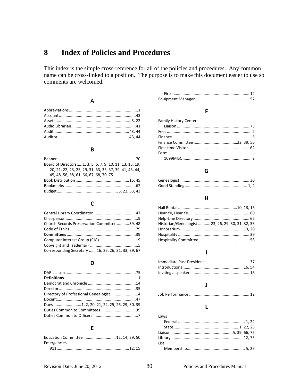#### 8 **Index of Policies and Procedures**

This index is the simple cross-reference for all of the policies and procedures. Any common name can be cross-linked to a position. The purpose is to make this document easier to use so comments are welcomed.

#### $\overline{A}$

# $\mathbf B$

| Board of Directors1, 3, 5, 6, 7, 9, 10, 11, 13, 15, 19, |  |
|---------------------------------------------------------|--|
| 20, 21, 22, 23, 25, 29, 31, 33, 35, 37, 39, 41, 43, 44, |  |
| 45, 48, 56, 58, 61, 66, 67, 68, 70, 75                  |  |
|                                                         |  |
|                                                         |  |
|                                                         |  |

# $\mathbf C$

| Church Records Preservation Committee39, 48         |  |
|-----------------------------------------------------|--|
|                                                     |  |
|                                                     |  |
| Computer Interest Group (CIG)19                     |  |
|                                                     |  |
| Corresponding Secretary  16, 25, 26, 31, 33, 39, 67 |  |

## D

| Directory of Professional Genealogist14   |  |
|-------------------------------------------|--|
|                                           |  |
| Dues 1, 2, 20, 21, 22, 25, 26, 29, 30, 39 |  |
|                                           |  |
|                                           |  |

# ${\sf E}$

| Education Committee  12, 14, 39, 50 |  |
|-------------------------------------|--|
| Emergencies                         |  |
|                                     |  |

### F

| <b>Family History Center</b> |  |
|------------------------------|--|
|                              |  |
|                              |  |
|                              |  |
|                              |  |
|                              |  |
| Form                         |  |
|                              |  |

## G

### $H$

| Historian/Genealogist  23, 26, 29, 30, 31, 32, 33 |
|---------------------------------------------------|
|                                                   |
|                                                   |
|                                                   |
|                                                   |

## $\mathbf{I}$

## $\mathbf{J}$

# $\mathbf{L}$

| Laws |  |
|------|--|
|      |  |
|      |  |
|      |  |
|      |  |
| List |  |
|      |  |